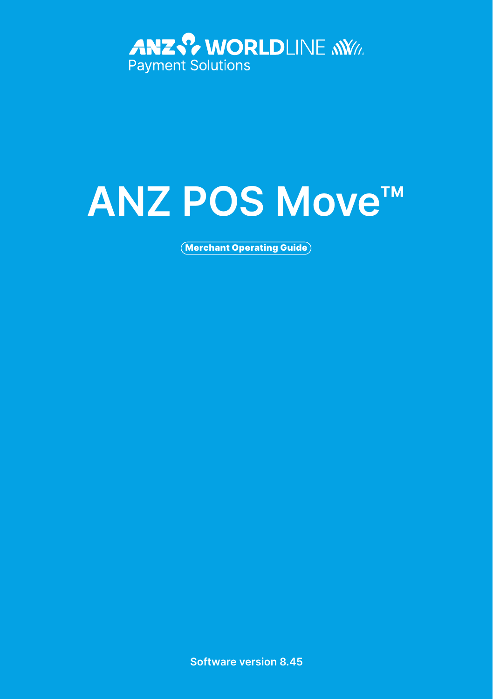

# **ANZ POS Move™**

Merchant Operating Guide

**Software version 8.45**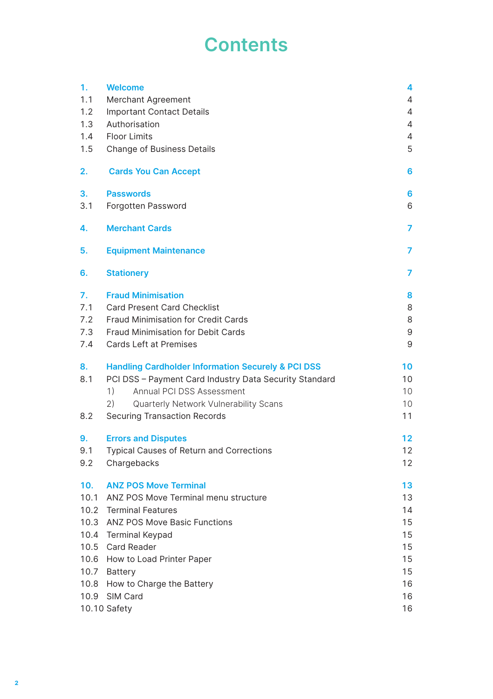# **Contents**

| 1.   | <b>Welcome</b>                                                | 4                 |
|------|---------------------------------------------------------------|-------------------|
| 1.1  | Merchant Agreement                                            | 4                 |
| 1.2  | <b>Important Contact Details</b>                              | 4                 |
| 1.3  | Authorisation                                                 | 4                 |
| 1.4  | <b>Floor Limits</b>                                           | 4                 |
| 1.5  | Change of Business Details                                    | 5                 |
| 2.   | <b>Cards You Can Accept</b>                                   | 6                 |
| З.   | <b>Passwords</b>                                              | 6                 |
| 3.1  | Forgotten Password                                            | 6                 |
| 4.   | <b>Merchant Cards</b>                                         | 7                 |
| 5.   | <b>Equipment Maintenance</b>                                  | 7                 |
| 6.   | <b>Stationery</b>                                             | 7                 |
| 7.   | <b>Fraud Minimisation</b>                                     | 8                 |
| 7.1  | Card Present Card Checklist                                   | 8                 |
| 7.2  | <b>Fraud Minimisation for Credit Cards</b>                    | 8                 |
| 7.3  | Fraud Minimisation for Debit Cards                            | 9                 |
| 7.4  | Cards Left at Premises                                        | 9                 |
| 8.   | <b>Handling Cardholder Information Securely &amp; PCI DSS</b> | 10                |
| 8.1  | PCI DSS - Payment Card Industry Data Security Standard        | 10                |
|      | 1)<br>Annual PCI DSS Assessment                               | 10                |
|      | 2)<br>Quarterly Network Vulnerability Scans                   | 10 <sup>°</sup>   |
| 8.2  | <b>Securing Transaction Records</b>                           | 11                |
| 9.   | <b>Errors and Disputes</b>                                    | $12 \overline{ }$ |
| 9.1  | <b>Typical Causes of Return and Corrections</b>               | 12                |
| 9.2  | Chargebacks                                                   | 12                |
| 10.  | <b>ANZ POS Move Terminal</b>                                  | 13                |
|      | 10.1 ANZ POS Move Terminal menu structure                     | 13                |
|      | 10.2 Terminal Features                                        | 14                |
| 10.3 | ANZ POS Move Basic Functions                                  | 15                |
|      | 10.4 Terminal Keypad                                          | 15                |
| 10.5 | Card Reader                                                   | 15                |
|      | 10.6 How to Load Printer Paper                                | 15                |
|      | 10.7 Battery                                                  | 15                |
|      | 10.8 How to Charge the Battery                                | 16                |
|      | 10.9 SIM Card                                                 | 16                |
|      | 10.10 Safety                                                  | 16                |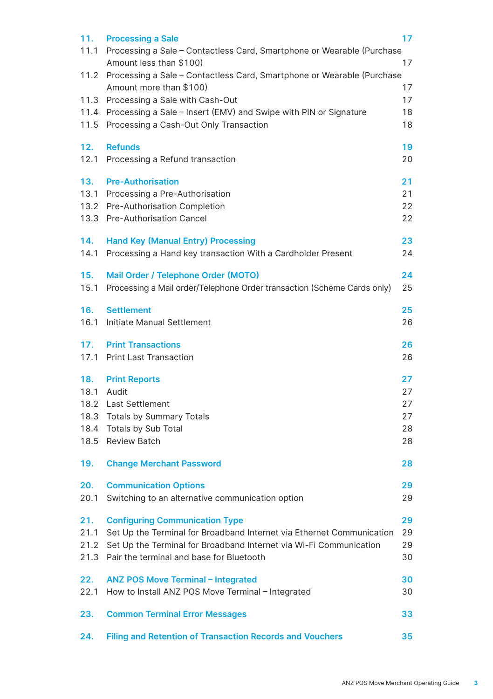| 11.  | <b>Processing a Sale</b><br>11.1 Processing a Sale - Contactless Card, Smartphone or Wearable (Purchase         | 17       |
|------|-----------------------------------------------------------------------------------------------------------------|----------|
|      | Amount less than \$100)                                                                                         | 17       |
|      | 11.2 Processing a Sale - Contactless Card, Smartphone or Wearable (Purchase                                     |          |
|      | Amount more than \$100)                                                                                         | 17<br>17 |
|      | 11.3 Processing a Sale with Cash-Out                                                                            |          |
| 11.5 | 11.4 Processing a Sale - Insert (EMV) and Swipe with PIN or Signature<br>Processing a Cash-Out Only Transaction | 18<br>18 |
| 12.  | <b>Refunds</b>                                                                                                  | 19       |
| 12.1 | Processing a Refund transaction                                                                                 | 20       |
| 13.  | <b>Pre-Authorisation</b>                                                                                        | 21       |
|      | 13.1 Processing a Pre-Authorisation                                                                             | 21       |
| 13.3 | 13.2 Pre-Authorisation Completion<br><b>Pre-Authorisation Cancel</b>                                            | 22<br>22 |
| 14.  | <b>Hand Key (Manual Entry) Processing</b>                                                                       | 23       |
| 14.1 | Processing a Hand key transaction With a Cardholder Present                                                     | 24       |
| 15.  | Mail Order / Telephone Order (MOTO)                                                                             | 24       |
| 15.1 | Processing a Mail order/Telephone Order transaction (Scheme Cards only)                                         | 25       |
| 16.  | <b>Settlement</b>                                                                                               | 25       |
| 16.1 | Initiate Manual Settlement                                                                                      | 26       |
| 17.  | <b>Print Transactions</b>                                                                                       | 26       |
|      | 17.1 Print Last Transaction                                                                                     | 26       |
| 18.  | <b>Print Reports</b>                                                                                            | 27       |
| 18.1 | Audit                                                                                                           | 27       |
|      | 18.2 Last Settlement                                                                                            | 27       |
|      | 18.3 Totals by Summary Totals                                                                                   | 27       |
|      | 18.4 Totals by Sub Total                                                                                        | 28       |
| 18.5 | <b>Review Batch</b>                                                                                             | 28       |
| 19.  | <b>Change Merchant Password</b>                                                                                 | 28       |
| 20.  | <b>Communication Options</b>                                                                                    | 29       |
| 20.1 | Switching to an alternative communication option                                                                | 29       |
| 21.  | <b>Configuring Communication Type</b>                                                                           | 29       |
| 21.1 | Set Up the Terminal for Broadband Internet via Ethernet Communication                                           | 29       |
| 21.2 | Set Up the Terminal for Broadband Internet via Wi-Fi Communication                                              | 29       |
| 21.3 | Pair the terminal and base for Bluetooth                                                                        | 30       |
| 22.  | <b>ANZ POS Move Terminal - Integrated</b>                                                                       | 30       |
| 22.1 | How to Install ANZ POS Move Terminal - Integrated                                                               | 30       |
| 23.  | <b>Common Terminal Error Messages</b>                                                                           | 33       |
| 24.  | <b>Filing and Retention of Transaction Records and Vouchers</b>                                                 | 35       |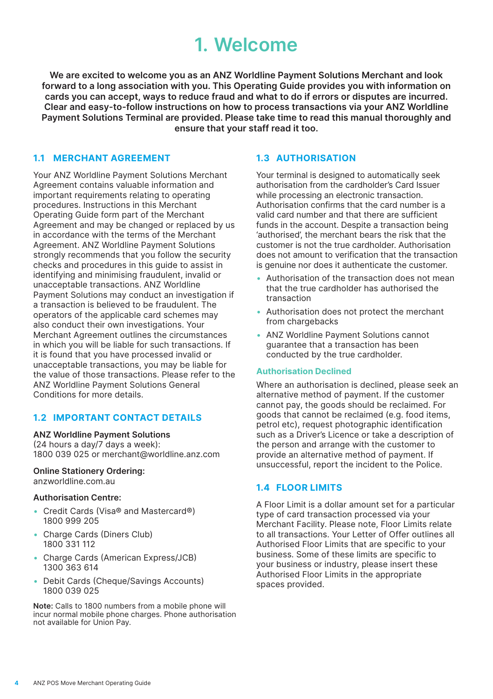# **1. Welcome**

<span id="page-3-0"></span>**We are excited to welcome you as an ANZ Worldline Payment Solutions Merchant and look forward to a long association with you. This Operating Guide provides you with information on cards you can accept, ways to reduce fraud and what to do if errors or disputes are incurred. Clear and easy-to-follow instructions on how to process transactions via your ANZ Worldline Payment Solutions Terminal are provided. Please take time to read this manual thoroughly and ensure that your staff read it too.**

## **1.1 MERCHANT AGREEMENT**

Your ANZ Worldline Payment Solutions Merchant Agreement contains valuable information and important requirements relating to operating procedures. Instructions in this Merchant Operating Guide form part of the Merchant Agreement and may be changed or replaced by us in accordance with the terms of the Merchant Agreement. ANZ Worldline Payment Solutions strongly recommends that you follow the security checks and procedures in this guide to assist in identifying and minimising fraudulent, invalid or unacceptable transactions. ANZ Worldline Payment Solutions may conduct an investigation if a transaction is believed to be fraudulent. The operators of the applicable card schemes may also conduct their own investigations. Your Merchant Agreement outlines the circumstances in which you will be liable for such transactions. If it is found that you have processed invalid or unacceptable transactions, you may be liable for the value of those transactions. Please refer to the ANZ Worldline Payment Solutions General Conditions for more details.

### **1.2 IMPORTANT CONTACT DETAILS**

**ANZ Worldline Payment Solutions**  (24 hours a day/7 days a week): 1800 039 025 or merchant@worldline.anz.com

### **Online Stationery Ordering:**

anzworldline.com.au

#### **Authorisation Centre:**

- • Credit Cards (Visa® and Mastercard®) 1800 999 205
- Charge Cards (Diners Club) 1800 331 112
- Charge Cards (American Express/JCB) 1300 363 614
- Debit Cards (Cheque/Savings Accounts) 1800 039 025

**Note:** Calls to 1800 numbers from a mobile phone will incur normal mobile phone charges. Phone authorisation not available for Union Pay.

### **1.3 AUTHORISATION**

Your terminal is designed to automatically seek authorisation from the cardholder's Card Issuer while processing an electronic transaction. Authorisation confirms that the card number is a valid card number and that there are sufficient funds in the account. Despite a transaction being 'authorised', the merchant bears the risk that the customer is not the true cardholder. Authorisation does not amount to verification that the transaction is genuine nor does it authenticate the customer.

- Authorisation of the transaction does not mean that the true cardholder has authorised the transaction
- • Authorisation does not protect the merchant from chargebacks
- ANZ Worldline Payment Solutions cannot guarantee that a transaction has been conducted by the true cardholder.

#### **Authorisation Declined**

Where an authorisation is declined, please seek an alternative method of payment. If the customer cannot pay, the goods should be reclaimed. For goods that cannot be reclaimed (e.g. food items, petrol etc), request photographic identification such as a Driver's Licence or take a description of the person and arrange with the customer to provide an alternative method of payment. If unsuccessful, report the incident to the Police.

# **1.4 FLOOR LIMITS**

A Floor Limit is a dollar amount set for a particular type of card transaction processed via your Merchant Facility. Please note, Floor Limits relate to all transactions. Your Letter of Offer outlines all Authorised Floor Limits that are specific to your business. Some of these limits are specific to your business or industry, please insert these Authorised Floor Limits in the appropriate spaces provided.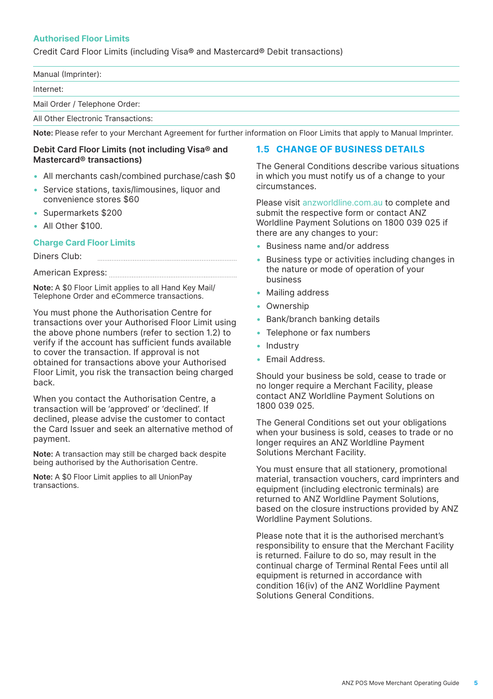### <span id="page-4-0"></span>**Authorised Floor Limits**

Credit Card Floor Limits (including Visa® and Mastercard® Debit transactions)

| Manual (Imprinter):           |  |
|-------------------------------|--|
| Internet:                     |  |
| Mail Order / Telephone Order: |  |

All Other Electronic Transactions:

**Note:** Please refer to your Merchant Agreement for further information on Floor Limits that apply to Manual Imprinter.

#### **Debit Card Floor Limits (not including Visa® and Mastercard® transactions)**

• All merchants cash/combined purchase/cash \$0

- Service stations, taxis/limousines, liquor and convenience stores \$60
- Supermarkets \$200
- All Other \$100.

#### **Charge Card Floor Limits**

Diners Club: 

American Express:

**Note:** A \$0 Floor Limit applies to all Hand Key Mail/ Telephone Order and eCommerce transactions.

You must phone the Authorisation Centre for transactions over your Authorised Floor Limit using the above phone numbers (refer to section 1.2) to verify if the account has sufficient funds available to cover the transaction. If approval is not obtained for transactions above your Authorised Floor Limit, you risk the transaction being charged back.

When you contact the Authorisation Centre, a transaction will be 'approved' or 'declined'. If declined, please advise the customer to contact the Card Issuer and seek an alternative method of payment.

**Note:** A transaction may still be charged back despite being authorised by the Authorisation Centre.

**Note:** A \$0 Floor Limit applies to all UnionPay transactions.

### **1.5 CHANGE OF BUSINESS DETAILS**

The General Conditions describe various situations in which you must notify us of a change to your circumstances.

Please visit [anzworldline.com.au](mailto:anzworldline.com.au?subject=) to complete and submit the respective form or contact ANZ Worldline Payment Solutions on 1800 039 025 if there are any changes to your:

- Business name and/or address
- Business type or activities including changes in the nature or mode of operation of your business
- Mailing address
- Ownership
- Bank/branch banking details
- Telephone or fax numbers
- Industry
- Email Address.

Should your business be sold, cease to trade or no longer require a Merchant Facility, please contact ANZ Worldline Payment Solutions on 1800 039 025.

The General Conditions set out your obligations when your business is sold, ceases to trade or no longer requires an ANZ Worldline Payment Solutions Merchant Facility.

You must ensure that all stationery, promotional material, transaction vouchers, card imprinters and equipment (including electronic terminals) are returned to ANZ Worldline Payment Solutions, based on the closure instructions provided by ANZ Worldline Payment Solutions.

Please note that it is the authorised merchant's responsibility to ensure that the Merchant Facility is returned. Failure to do so, may result in the continual charge of Terminal Rental Fees until all equipment is returned in accordance with condition 16(iv) of the ANZ Worldline Payment Solutions General Conditions.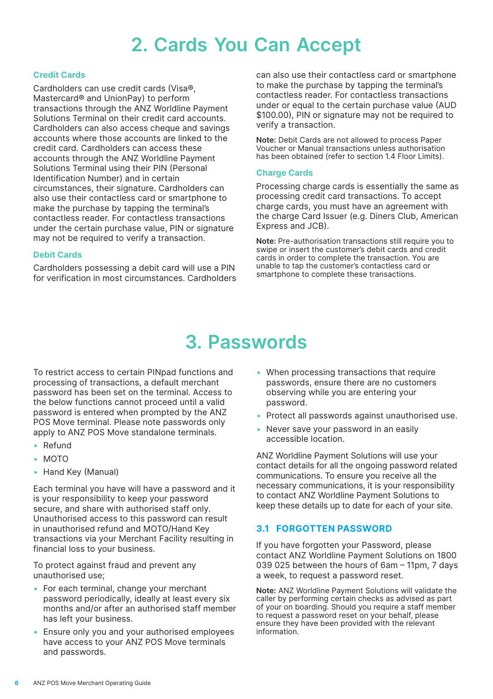# **2. Cards You Can Accept**

#### <span id="page-5-0"></span>**Credit Cards**

Cardholders can use credit cards (Visa®, Mastercard® and UnionPay) to perform transactions through the ANZ Worldline Payment Solutions Terminal on their credit card accounts. Cardholders can also access cheque and savings accounts where those accounts are linked to the credit card. Cardholders can access these accounts through the ANZ Worldline Payment Solutions Terminal using their PIN (Personal Identification Number) and in certain circumstances, their signature. Cardholders can also use their contactless card or smartphone to make the purchase by tapping the terminal's contactless reader. For contactless transactions under the certain purchase value, PIN or signature may not be required to verify a transaction.

#### **Debit Cards**

Cardholders possessing a debit card will use a PIN for verification in most circumstances. Cardholders can also use their contactless card or smartphone to make the purchase by tapping the terminal's contactless reader. For contactless transactions under or equal to the certain purchase value (AUD \$100.00), PIN or signature may not be required to verify a transaction.

**Note:** Debit Cards are not allowed to process Paper Voucher or Manual transactions unless authorisation has been obtained (refer to section 1.4 Floor Limits).

#### **Charge Cards**

Processing charge cards is essentially the same as processing credit card transactions. To accept charge cards, you must have an agreement with the charge Card Issuer (e.g. Diners Club, American Express and JCB).

**Note:** Pre-authorisation transactions still require you to swipe or insert the customer's debit cards and credit cards in order to complete the transaction. You are unable to tap the customer's contactless card or smartphone to complete these transactions.

# **3. Passwords**

To restrict access to certain PINpad functions and processing of transactions, a default merchant password has been set on the terminal. Access to the below functions cannot proceed until a valid password is entered when prompted by the ANZ POS Move terminal. Please note passwords only apply to ANZ POS Move standalone terminals.

- • Refund
- • MOTO
- • Hand Key (Manual)

Each terminal you have will have a password and it is your responsibility to keep your password secure, and share with authorised staff only. Unauthorised access to this password can result in unauthorised refund and MOTO/Hand Key transactions via your Merchant Facility resulting in financial loss to your business.

To protect against fraud and prevent any unauthorised use;

- For each terminal, change your merchant password periodically, ideally at least every six months and/or after an authorised staff member has left your business.
- Ensure only you and your authorised employees have access to your ANZ POS Move terminals and passwords.
- When processing transactions that require passwords, ensure there are no customers observing while you are entering your password.
- Protect all passwords against unauthorised use.
- Never save your password in an easily accessible location.

ANZ Worldline Payment Solutions will use your contact details for all the ongoing password related communications. To ensure you receive all the necessary communications, it is your responsibility to contact ANZ Worldline Payment Solutions to keep these details up to date for each of your site.

# **3.1 FORGOTTEN PASSWORD**

If you have forgotten your Password, please contact ANZ Worldline Payment Solutions on 1800 039 025 between the hours of 6am – 11pm, 7 days a week, to request a password reset.

**Note:** ANZ Worldline Payment Solutions will validate the caller by performing certain checks as advised as part of your on boarding. Should you require a staff member to request a password reset on your behalf, please ensure they have been provided with the relevant information.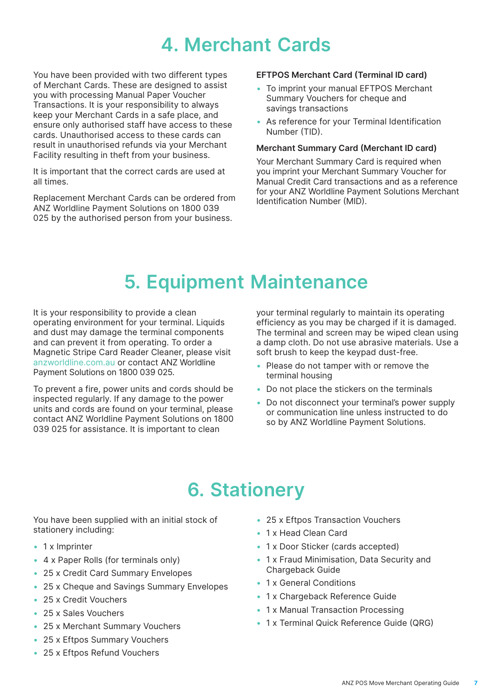# **4. Merchant Cards**

<span id="page-6-0"></span>You have been provided with two different types of Merchant Cards. These are designed to assist you with processing Manual Paper Voucher Transactions. It is your responsibility to always keep your Merchant Cards in a safe place, and ensure only authorised staff have access to these cards. Unauthorised access to these cards can result in unauthorised refunds via your Merchant Facility resulting in theft from your business.

It is important that the correct cards are used at all times.

Replacement Merchant Cards can be ordered from ANZ Worldline Payment Solutions on 1800 039 025 by the authorised person from your business.

### **EFTPOS Merchant Card (Terminal ID card)**

- To imprint your manual EFTPOS Merchant Summary Vouchers for cheque and savings transactions
- As reference for your Terminal Identification Number (TID).

#### **Merchant Summary Card (Merchant ID card)**

Your Merchant Summary Card is required when you imprint your Merchant Summary Voucher for Manual Credit Card transactions and as a reference for your ANZ Worldline Payment Solutions Merchant Identification Number (MID).

# **5. Equipment Maintenance**

It is your responsibility to provide a clean operating environment for your terminal. Liquids and dust may damage the terminal components and can prevent it from operating. To order a Magnetic Stripe Card Reader Cleaner, please visit [anzworldline.com.au](mailto:anzworldline.com.au?subject=) or contact ANZ Worldline Payment Solutions on 1800 039 025.

To prevent a fire, power units and cords should be inspected regularly. If any damage to the power units and cords are found on your terminal, please contact ANZ Worldline Payment Solutions on 1800 039 025 for assistance. It is important to clean

your terminal regularly to maintain its operating efficiency as you may be charged if it is damaged. The terminal and screen may be wiped clean using a damp cloth. Do not use abrasive materials. Use a soft brush to keep the keypad dust-free.

- Please do not tamper with or remove the terminal housing
- Do not place the stickers on the terminals
- Do not disconnect your terminal's power supply or communication line unless instructed to do so by ANZ Worldline Payment Solutions.

# **6. Stationery**

You have been supplied with an initial stock of stationery including:

- 1 x Imprinter
- 4 x Paper Rolls (for terminals only)
- 25 x Credit Card Summary Envelopes
- 25 x Cheque and Savings Summary Envelopes
- 25 x Credit Vouchers
- 25 x Sales Vouchers
- 25 x Merchant Summary Vouchers
- 25 x Eftpos Summary Vouchers
- 25 x Eftpos Refund Vouchers
- 25 x Eftpos Transaction Vouchers
- 1 x Head Clean Card
- 1 x Door Sticker (cards accepted)
- 1 x Fraud Minimisation, Data Security and Chargeback Guide
- 1 x General Conditions
- 1 x Chargeback Reference Guide
- 1 x Manual Transaction Processing
- 1 x Terminal Quick Reference Guide (QRG)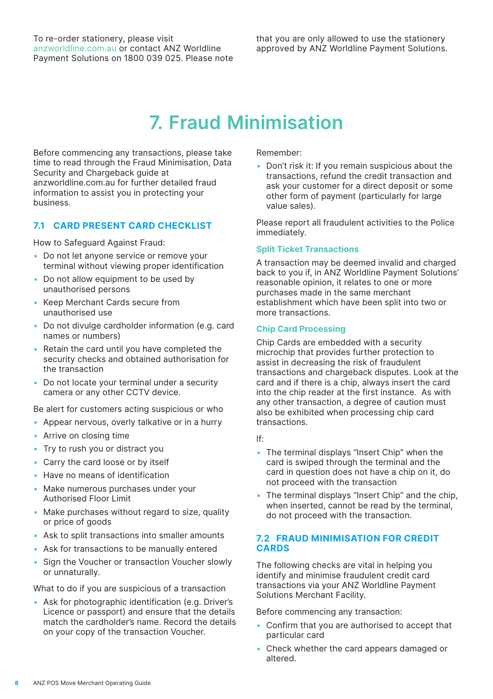# **7. Fraud Minimisation**

<span id="page-7-0"></span>Before commencing any transactions, please take time to read through the Fraud Minimisation, Data Security and Chargeback guide at anzworldline.com.au for further detailed fraud information to assist you in protecting your business.

### **7.1 CARD PRESENT CARD CHECKLIST**

How to Safeguard Against Fraud:

- Do not let anyone service or remove your terminal without viewing proper identification
- Do not allow equipment to be used by unauthorised persons
- • Keep Merchant Cards secure from unauthorised use
- Do not divulge cardholder information (e.g. card names or numbers)
- Retain the card until you have completed the security checks and obtained authorisation for the transaction
- Do not locate your terminal under a security camera or any other CCTV device.

Be alert for customers acting suspicious or who

- Appear nervous, overly talkative or in a hurry
- Arrive on closing time
- Try to rush you or distract you
- Carry the card loose or by itself
- Have no means of identification
- Make numerous purchases under your Authorised Floor Limit
- Make purchases without regard to size, quality or price of goods
- Ask to split transactions into smaller amounts
- Ask for transactions to be manually entered
- Sign the Voucher or transaction Voucher slowly or unnaturally.

What to do if you are suspicious of a transaction

• Ask for photographic identification (e.g. Driver's Licence or passport) and ensure that the details match the cardholder's name. Record the details on your copy of the transaction Voucher.

Remember:

• Don't risk it: If you remain suspicious about the transactions, refund the credit transaction and ask your customer for a direct deposit or some other form of payment (particularly for large value sales).

Please report all fraudulent activities to the Police immediately.

#### **Split Ticket Transactions**

A transaction may be deemed invalid and charged back to you if, in ANZ Worldline Payment Solutions' reasonable opinion, it relates to one or more purchases made in the same merchant establishment which have been split into two or more transactions.

#### **Chip Card Processing**

Chip Cards are embedded with a security microchip that provides further protection to assist in decreasing the risk of fraudulent transactions and chargeback disputes. Look at the card and if there is a chip, always insert the card into the chip reader at the first instance. As with any other transaction, a degree of caution must also be exhibited when processing chip card transactions.

If:

- The terminal displays "Insert Chip" when the card is swiped through the terminal and the card in question does not have a chip on it, do not proceed with the transaction
- The terminal displays "Insert Chip" and the chip. when inserted, cannot be read by the terminal, do not proceed with the transaction.

### **7.2 FRAUD MINIMISATION FOR CREDIT CARDS**

The following checks are vital in helping you identify and minimise fraudulent credit card transactions via your ANZ Worldline Payment Solutions Merchant Facility.

Before commencing any transaction:

- Confirm that you are authorised to accept that particular card
- Check whether the card appears damaged or altered.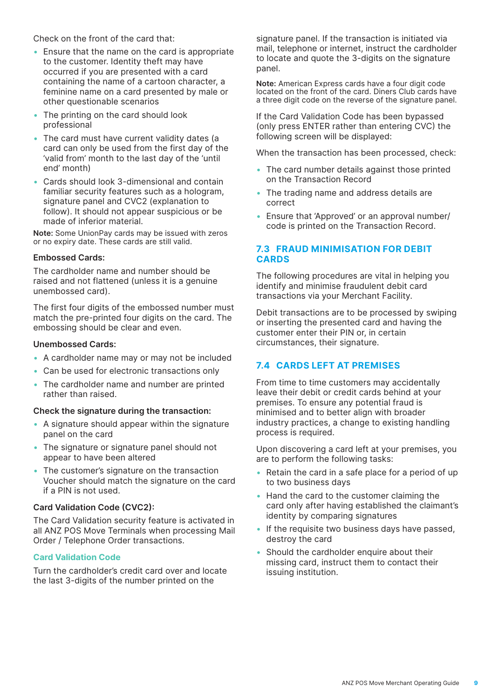<span id="page-8-0"></span>Check on the front of the card that:

- Ensure that the name on the card is appropriate to the customer. Identity theft may have occurred if you are presented with a card containing the name of a cartoon character, a feminine name on a card presented by male or other questionable scenarios
- The printing on the card should look professional
- The card must have current validity dates (a card can only be used from the first day of the 'valid from' month to the last day of the 'until end' month)
- • Cards should look 3-dimensional and contain familiar security features such as a hologram, signature panel and CVC2 (explanation to follow). It should not appear suspicious or be made of inferior material.

**Note:** Some UnionPay cards may be issued with zeros or no expiry date. These cards are still valid.

#### **Embossed Cards:**

The cardholder name and number should be raised and not flattened (unless it is a genuine unembossed card).

The first four digits of the embossed number must match the pre-printed four digits on the card. The embossing should be clear and even.

#### **Unembossed Cards:**

- A cardholder name may or may not be included
- Can be used for electronic transactions only
- The cardholder name and number are printed rather than raised.

#### **Check the signature during the transaction:**

- A signature should appear within the signature panel on the card
- The signature or signature panel should not appear to have been altered
- The customer's signature on the transaction Voucher should match the signature on the card if a PIN is not used.

#### **Card Validation Code (CVC2):**

The Card Validation security feature is activated in all ANZ POS Move Terminals when processing Mail Order / Telephone Order transactions.

#### **Card Validation Code**

Turn the cardholder's credit card over and locate the last 3-digits of the number printed on the

signature panel. If the transaction is initiated via mail, telephone or internet, instruct the cardholder to locate and quote the 3-digits on the signature panel.

**Note:** American Express cards have a four digit code located on the front of the card. Diners Club cards have a three digit code on the reverse of the signature panel.

If the Card Validation Code has been bypassed (only press ENTER rather than entering CVC) the following screen will be displayed:

When the transaction has been processed, check:

- The card number details against those printed on the Transaction Record
- The trading name and address details are correct
- Ensure that 'Approved' or an approval number/ code is printed on the Transaction Record.

### **7.3 FRAUD MINIMISATION FOR DEBIT CARDS**

The following procedures are vital in helping you identify and minimise fraudulent debit card transactions via your Merchant Facility.

Debit transactions are to be processed by swiping or inserting the presented card and having the customer enter their PIN or, in certain circumstances, their signature.

### **7.4 CARDS LEFT AT PREMISES**

From time to time customers may accidentally leave their debit or credit cards behind at your premises. To ensure any potential fraud is minimised and to better align with broader industry practices, a change to existing handling process is required.

Upon discovering a card left at your premises, you are to perform the following tasks:

- Retain the card in a safe place for a period of up to two business days
- Hand the card to the customer claiming the card only after having established the claimant's identity by comparing signatures
- If the requisite two business days have passed, destroy the card
- Should the cardholder enquire about their missing card, instruct them to contact their issuing institution.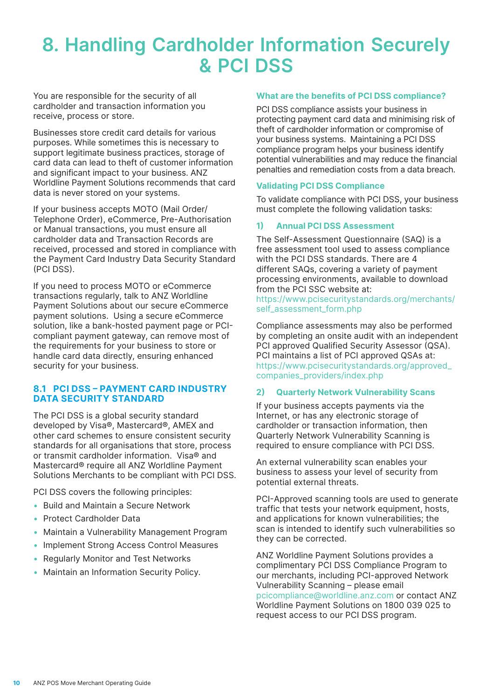# <span id="page-9-0"></span>**8. Handling Cardholder Information Securely & PCI DSS**

You are responsible for the security of all cardholder and transaction information you receive, process or store.

Businesses store credit card details for various purposes. While sometimes this is necessary to support legitimate business practices, storage of card data can lead to theft of customer information and significant impact to your business. ANZ Worldline Payment Solutions recommends that card data is never stored on your systems.

If your business accepts MOTO (Mail Order/ Telephone Order), eCommerce, Pre-Authorisation or Manual transactions, you must ensure all cardholder data and Transaction Records are received, processed and stored in compliance with the Payment Card Industry Data Security Standard (PCI DSS).

If you need to process MOTO or eCommerce transactions regularly, talk to ANZ Worldline Payment Solutions about our secure eCommerce payment solutions. Using a secure eCommerce solution, like a bank-hosted payment page or PCIcompliant payment gateway, can remove most of the requirements for your business to store or handle card data directly, ensuring enhanced security for your business.

### **8.1 PCI DSS – PAYMENT CARD INDUSTRY DATA SECURITY STANDARD**

The PCI DSS is a global security standard developed by Visa®, Mastercard®, AMEX and other card schemes to ensure consistent security standards for all organisations that store, process or transmit cardholder information. Visa® and Mastercard® require all ANZ Worldline Payment Solutions Merchants to be compliant with PCI DSS.

PCI DSS covers the following principles:

- • Build and Maintain a Secure Network
- Protect Cardholder Data
- Maintain a Vulnerability Management Program
- Implement Strong Access Control Measures
- Regularly Monitor and Test Networks
- Maintain an Information Security Policy.

#### **What are the benefits of PCI DSS compliance?**

PCI DSS compliance assists your business in protecting payment card data and minimising risk of theft of cardholder information or compromise of your business systems. Maintaining a PCI DSS compliance program helps your business identify potential vulnerabilities and may reduce the financial penalties and remediation costs from a data breach.

#### **Validating PCI DSS Compliance**

To validate compliance with PCI DSS, your business must complete the following validation tasks:

#### **1) Annual PCI DSS Assessment**

The Self-Assessment Questionnaire (SAQ) is a free assessment tool used to assess compliance with the PCI DSS standards. There are 4 different SAQs, covering a variety of payment processing environments, available to download from the PCI SSC website at: [https://www.pcisecuritystandards.org/merchants/](https://www.pcisecuritystandards.org/merchants/self_assessment_form.php)

[self\\_assessment\\_form.php](https://www.pcisecuritystandards.org/merchants/self_assessment_form.php)

Compliance assessments may also be performed by completing an onsite audit with an independent PCI approved Qualified Security Assessor (QSA). PCI maintains a list of PCI approved QSAs at: [https://www.pcisecuritystandards.org/approved\\_](https://www.pcisecuritystandards.org/approved_companies_providers/index.php) [companies\\_providers/index.php](https://www.pcisecuritystandards.org/approved_companies_providers/index.php)

#### **2) Quarterly Network Vulnerability Scans**

If your business accepts payments via the Internet, or has any electronic storage of cardholder or transaction information, then Quarterly Network Vulnerability Scanning is required to ensure compliance with PCI DSS.

An external vulnerability scan enables your business to assess your level of security from potential external threats.

PCI-Approved scanning tools are used to generate traffic that tests your network equipment, hosts, and applications for known vulnerabilities; the scan is intended to identify such vulnerabilities so they can be corrected.

ANZ Worldline Payment Solutions provides a complimentary PCI DSS Compliance Program to our merchants, including PCI-approved Network Vulnerability Scanning – please email [pcicompliance@worldline.anz.com](mailto:pcicompliance%40worldline.anz.com?subject=) or contact ANZ Worldline Payment Solutions on 1800 039 025 to request access to our PCI DSS program.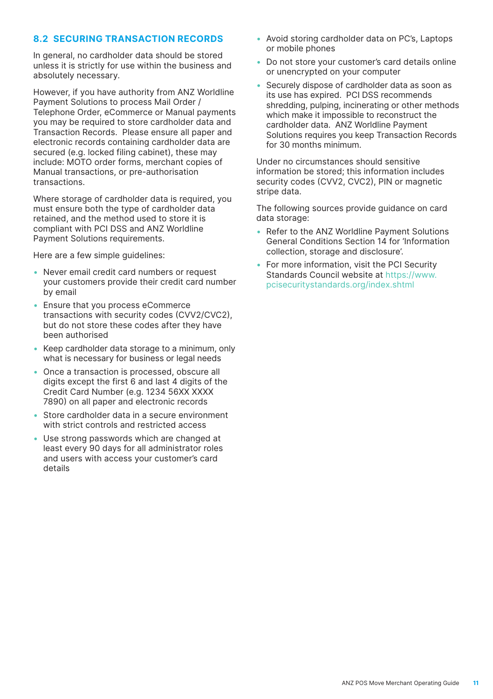# <span id="page-10-0"></span>**8.2 SECURING TRANSACTION RECORDS**

In general, no cardholder data should be stored unless it is strictly for use within the business and absolutely necessary.

However, if you have authority from ANZ Worldline Payment Solutions to process Mail Order / Telephone Order, eCommerce or Manual payments you may be required to store cardholder data and Transaction Records. Please ensure all paper and electronic records containing cardholder data are secured (e.g. locked filing cabinet), these may include: MOTO order forms, merchant copies of Manual transactions, or pre-authorisation transactions.

Where storage of cardholder data is required, you must ensure both the type of cardholder data retained, and the method used to store it is compliant with PCI DSS and ANZ Worldline Payment Solutions requirements.

Here are a few simple guidelines:

- Never email credit card numbers or request your customers provide their credit card number by email
- Ensure that you process eCommerce transactions with security codes (CVV2/CVC2), but do not store these codes after they have been authorised
- Keep cardholder data storage to a minimum, only what is necessary for business or legal needs
- Once a transaction is processed, obscure all digits except the first 6 and last 4 digits of the Credit Card Number (e.g. 1234 56XX XXXX 7890) on all paper and electronic records
- Store cardholder data in a secure environment with strict controls and restricted access
- Use strong passwords which are changed at least every 90 days for all administrator roles and users with access your customer's card details
- Avoid storing cardholder data on PC's, Laptops or mobile phones
- Do not store your customer's card details online or unencrypted on your computer
- Securely dispose of cardholder data as soon as its use has expired. PCI DSS recommends shredding, pulping, incinerating or other methods which make it impossible to reconstruct the cardholder data. ANZ Worldline Payment Solutions requires you keep Transaction Records for 30 months minimum.

Under no circumstances should sensitive information be stored; this information includes security codes (CVV2, CVC2), PIN or magnetic stripe data.

The following sources provide guidance on card data storage:

- Refer to the ANZ Worldline Payment Solutions General Conditions Section 14 for 'Information collection, storage and disclosure'.
- For more information, visit the PCI Security Standards Council website at [https://www.](https://www.pcisecuritystandards.org/index.shtml) [pcisecuritystandards.org/index.shtml](https://www.pcisecuritystandards.org/index.shtml)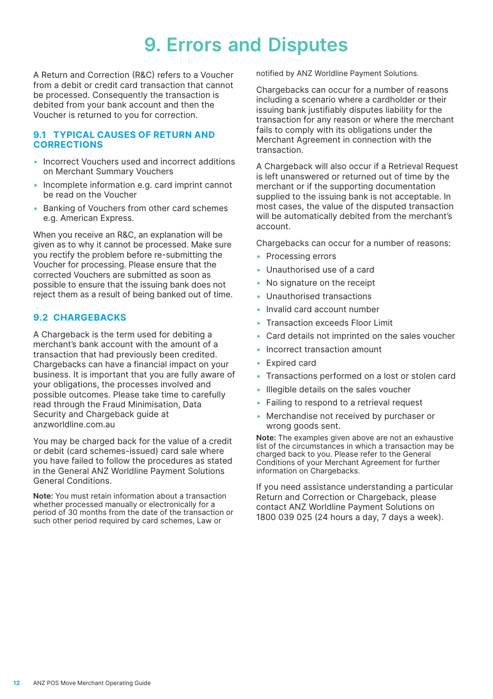# **9. Errors and Disputes**

<span id="page-11-0"></span>A Return and Correction (R&C) refers to a Voucher from a debit or credit card transaction that cannot be processed. Consequently the transaction is debited from your bank account and then the Voucher is returned to you for correction.

#### **9.1 TYPICAL CAUSES OF RETURN AND CORRECTIONS**

- Incorrect Vouchers used and incorrect additions on Merchant Summary Vouchers
- Incomplete information e.g. card imprint cannot be read on the Voucher
- Banking of Vouchers from other card schemes e.g. American Express.

When you receive an R&C, an explanation will be given as to why it cannot be processed. Make sure you rectify the problem before re-submitting the Voucher for processing. Please ensure that the corrected Vouchers are submitted as soon as possible to ensure that the issuing bank does not reject them as a result of being banked out of time.

# **9.2 CHARGEBACKS**

A Chargeback is the term used for debiting a merchant's bank account with the amount of a transaction that had previously been credited. Chargebacks can have a financial impact on your business. It is important that you are fully aware of your obligations, the processes involved and possible outcomes. Please take time to carefully read through the Fraud Minimisation, Data Security and Chargeback guide at anzworldline.com.au

You may be charged back for the value of a credit or debit (card schemes-issued) card sale where you have failed to follow the procedures as stated in the General ANZ Worldline Payment Solutions General Conditions.

**Note:** You must retain information about a transaction whether processed manually or electronically for a period of 30 months from the date of the transaction or such other period required by card schemes, Law or

notified by ANZ Worldline Payment Solutions.

Chargebacks can occur for a number of reasons including a scenario where a cardholder or their issuing bank justifiably disputes liability for the transaction for any reason or where the merchant fails to comply with its obligations under the Merchant Agreement in connection with the transaction.

A Chargeback will also occur if a Retrieval Request is left unanswered or returned out of time by the merchant or if the supporting documentation supplied to the issuing bank is not acceptable. In most cases, the value of the disputed transaction will be automatically debited from the merchant's account.

Chargebacks can occur for a number of reasons:

- • Processing errors
- • Unauthorised use of a card
- No signature on the receipt
- • Unauthorised transactions
- Invalid card account number
- Transaction exceeds Floor Limit
- • Card details not imprinted on the sales voucher
- Incorrect transaction amount
- Expired card
- Transactions performed on a lost or stolen card
- Illegible details on the sales voucher
- Failing to respond to a retrieval request
- Merchandise not received by purchaser or wrong goods sent.

**Note:** The examples given above are not an exhaustive list of the circumstances in which a transaction may be charged back to you. Please refer to the General Conditions of your Merchant Agreement for further information on Chargebacks.

If you need assistance understanding a particular Return and Correction or Chargeback, please contact ANZ Worldline Payment Solutions on 1800 039 025 (24 hours a day, 7 days a week).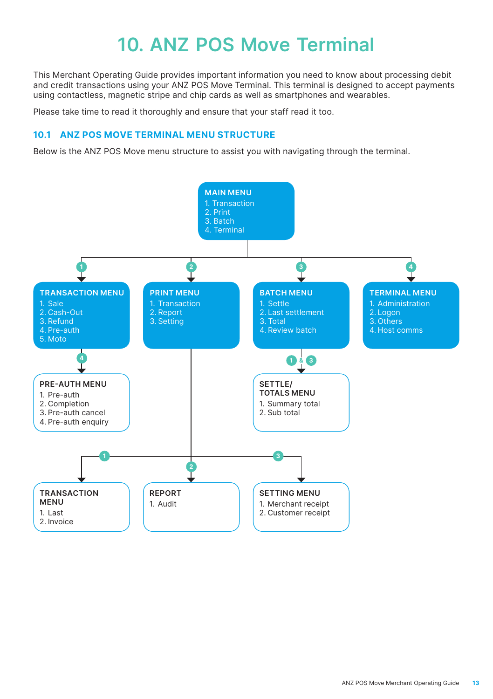# **10. ANZ POS Move Terminal**

<span id="page-12-0"></span>This Merchant Operating Guide provides important information you need to know about processing debit and credit transactions using your ANZ POS Move Terminal. This terminal is designed to accept payments using contactless, magnetic stripe and chip cards as well as smartphones and wearables.

Please take time to read it thoroughly and ensure that your staff read it too.

# **10.1 ANZ POS MOVE TERMINAL MENU STRUCTURE**

Below is the ANZ POS Move menu structure to assist you with navigating through the terminal.

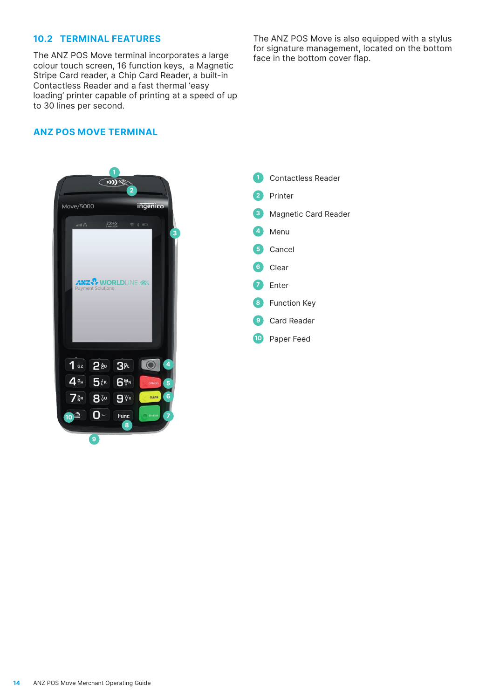### <span id="page-13-0"></span>**10.2 TERMINAL FEATURES**

The ANZ POS Move terminal incorporates a large colour touch screen, 16 function keys, a Magnetic Stripe Card reader, a Chip Card Reader, a built-in Contactless Reader and a fast thermal 'easy loading' printer capable of printing at a speed of up to 30 lines per second.

The ANZ POS Move is also equipped with a stylus for signature management, located on the bottom face in the bottom cover flap.

# **ANZ POS MOVE TERMINAL**



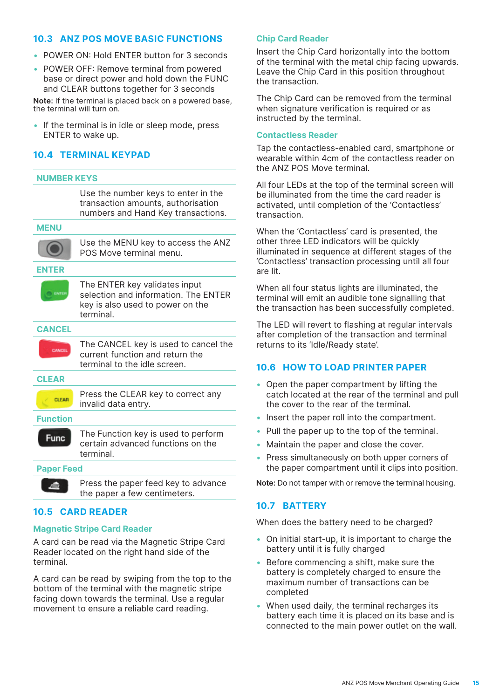# <span id="page-14-0"></span>**10.3 ANZ POS MOVE BASIC FUNCTIONS**

- POWER ON: Hold ENTER button for 3 seconds
- POWER OFF: Remove terminal from powered base or direct power and hold down the FUNC and CLEAR buttons together for 3 seconds

**Note:** If the terminal is placed back on a powered base, the terminal will turn on.

• If the terminal is in idle or sleep mode, press ENTER to wake up.

# **10.4 TERMINAL KEYPAD**

#### **NUMBER KEYS**

Use the number keys to enter in the transaction amounts, authorisation numbers and Hand Key transactions.

**MENU**



Use the MENU key to access the ANZ POS Move terminal menu.

#### **ENTER**

The ENTER key validates input selection and information. The ENTER key is also used to power on the terminal.

# **CANCEL** CANCE

The CANCEL key is used to cancel the current function and return the terminal to the idle screen.

**CLEAR**



**Function Func** 

The Function key is used to perform certain advanced functions on the terminal.

#### **Paper Feed**

Press the paper feed key to advance the paper a few centimeters.

# **10.5 CARD READER**

#### **Magnetic Stripe Card Reader**

A card can be read via the Magnetic Stripe Card Reader located on the right hand side of the terminal.

A card can be read by swiping from the top to the bottom of the terminal with the magnetic stripe facing down towards the terminal. Use a regular movement to ensure a reliable card reading.

### **Chip Card Reader**

Insert the Chip Card horizontally into the bottom of the terminal with the metal chip facing upwards. Leave the Chip Card in this position throughout the transaction.

The Chip Card can be removed from the terminal when signature verification is required or as instructed by the terminal.

#### **Contactless Reader**

Tap the contactless-enabled card, smartphone or wearable within 4cm of the contactless reader on the ANZ POS Move terminal.

All four LEDs at the top of the terminal screen will be illuminated from the time the card reader is activated, until completion of the 'Contactless' transaction.

When the 'Contactless' card is presented, the other three LED indicators will be quickly illuminated in sequence at different stages of the 'Contactless' transaction processing until all four are lit.

When all four status lights are illuminated, the terminal will emit an audible tone signalling that the transaction has been successfully completed.

The LED will revert to flashing at regular intervals after completion of the transaction and terminal returns to its 'Idle/Ready state'.

### **10.6 HOW TO LOAD PRINTER PAPER**

- Open the paper compartment by lifting the catch located at the rear of the terminal and pull the cover to the rear of the terminal.
- Insert the paper roll into the compartment.
- Pull the paper up to the top of the terminal.
- Maintain the paper and close the cover.
- Press simultaneously on both upper corners of the paper compartment until it clips into position.

**Note:** Do not tamper with or remove the terminal housing.

#### **10.7 BATTERY**

When does the battery need to be charged?

- On initial start-up, it is important to charge the battery until it is fully charged
- Before commencing a shift, make sure the battery is completely charged to ensure the maximum number of transactions can be completed
- When used daily, the terminal recharges its battery each time it is placed on its base and is connected to the main power outlet on the wall.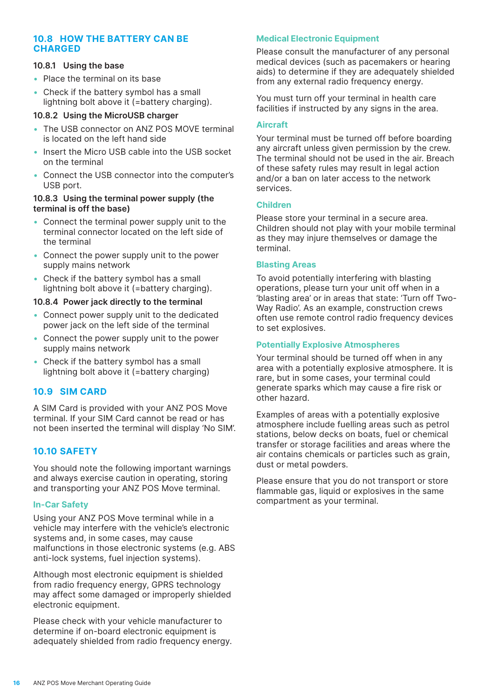# <span id="page-15-0"></span>**10.8 HOW THE BATTERY CAN BE CHARGED**

#### **10.8.1 Using the base**

- Place the terminal on its base
- Check if the battery symbol has a small lightning bolt above it (=battery charging).

#### **10.8.2 Using the MicroUSB charger**

- The USB connector on ANZ POS MOVE terminal is located on the left hand side
- Insert the Micro USB cable into the USB socket on the terminal
- • Connect the USB connector into the computer's USB port.

#### **10.8.3 Using the terminal power supply (the terminal is off the base)**

- Connect the terminal power supply unit to the terminal connector located on the left side of the terminal
- Connect the power supply unit to the power supply mains network
- Check if the battery symbol has a small lightning bolt above it (=battery charging).

#### **10.8.4 Power jack directly to the terminal**

- Connect power supply unit to the dedicated power jack on the left side of the terminal
- Connect the power supply unit to the power supply mains network
- Check if the battery symbol has a small lightning bolt above it (=battery charging)

### **10.9 SIM CARD**

A SIM Card is provided with your ANZ POS Move terminal. If your SIM Card cannot be read or has not been inserted the terminal will display 'No SIM'.

### **10.10 SAFETY**

You should note the following important warnings and always exercise caution in operating, storing and transporting your ANZ POS Move terminal.

#### **In-Car Safety**

Using your ANZ POS Move terminal while in a vehicle may interfere with the vehicle's electronic systems and, in some cases, may cause malfunctions in those electronic systems (e.g. ABS anti-lock systems, fuel injection systems).

Although most electronic equipment is shielded from radio frequency energy, GPRS technology may affect some damaged or improperly shielded electronic equipment.

Please check with your vehicle manufacturer to determine if on-board electronic equipment is adequately shielded from radio frequency energy.

### **Medical Electronic Equipment**

Please consult the manufacturer of any personal medical devices (such as pacemakers or hearing aids) to determine if they are adequately shielded from any external radio frequency energy.

You must turn off your terminal in health care facilities if instructed by any signs in the area.

### **Aircraft**

Your terminal must be turned off before boarding any aircraft unless given permission by the crew. The terminal should not be used in the air. Breach of these safety rules may result in legal action and/or a ban on later access to the network services.

#### **Children**

Please store your terminal in a secure area. Children should not play with your mobile terminal as they may injure themselves or damage the terminal.

### **Blasting Areas**

To avoid potentially interfering with blasting operations, please turn your unit off when in a 'blasting area' or in areas that state: 'Turn off Two-Way Radio'. As an example, construction crews often use remote control radio frequency devices to set explosives.

#### **Potentially Explosive Atmospheres**

Your terminal should be turned off when in any area with a potentially explosive atmosphere. It is rare, but in some cases, your terminal could generate sparks which may cause a fire risk or other hazard.

Examples of areas with a potentially explosive atmosphere include fuelling areas such as petrol stations, below decks on boats, fuel or chemical transfer or storage facilities and areas where the air contains chemicals or particles such as grain, dust or metal powders.

Please ensure that you do not transport or store flammable gas, liquid or explosives in the same compartment as your terminal.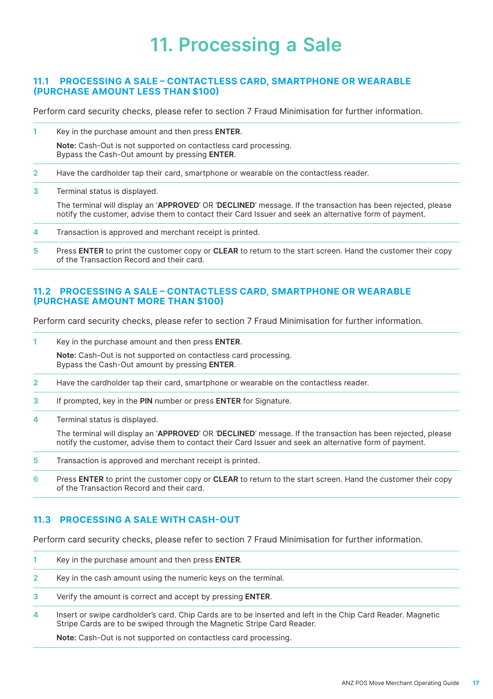# **11. Processing a Sale**

### <span id="page-16-0"></span>**11.1 PROCESSING A SALE – CONTACTLESS CARD, SMARTPHONE OR WEARABLE (PURCHASE AMOUNT LESS THAN \$100)**

Perform card security checks, please refer to section 7 Fraud Minimisation for further information.

**1** Key in the purchase amount and then press **ENTER**.

**Note:** Cash-Out is not supported on contactless card processing. Bypass the Cash-Out amount by pressing **ENTER**.

- **2** Have the cardholder tap their card, smartphone or wearable on the contactless reader.
- **3** Terminal status is displayed.

The terminal will display an '**APPROVED**' OR '**DECLINED**' message. If the transaction has been rejected, please notify the customer, advise them to contact their Card Issuer and seek an alternative form of payment.

- **4** Transaction is approved and merchant receipt is printed.
- **5** Press **ENTER** to print the customer copy or **CLEAR** to return to the start screen. Hand the customer their copy of the Transaction Record and their card.

#### **11.2 PROCESSING A SALE – CONTACTLESS CARD, SMARTPHONE OR WEARABLE (PURCHASE AMOUNT MORE THAN \$100)**

Perform card security checks, please refer to section 7 Fraud Minimisation for further information.

**1** Key in the purchase amount and then press **ENTER**.

**Note:** Cash-Out is not supported on contactless card processing. Bypass the Cash-Out amount by pressing **ENTER**.

- **2** Have the cardholder tap their card, smartphone or wearable on the contactless reader.
- **3** If prompted, key in the **PIN** number or press **ENTER** for Signature.
- **4** Terminal status is displayed.

The terminal will display an '**APPROVED**' OR '**DECLINED**' message. If the transaction has been rejected, please notify the customer, advise them to contact their Card Issuer and seek an alternative form of payment.

- **5** Transaction is approved and merchant receipt is printed.
- **6** Press **ENTER** to print the customer copy or **CLEAR** to return to the start screen. Hand the customer their copy of the Transaction Record and their card.

#### **11.3 PROCESSING A SALE WITH CASH-OUT**

Perform card security checks, please refer to section 7 Fraud Minimisation for further information.

- **1** Key in the purchase amount and then press **ENTER**.
- **2** Key in the cash amount using the numeric keys on the terminal.
- **3** Verify the amount is correct and accept by pressing **ENTER**.
- **4** Insert or swipe cardholder's card. Chip Cards are to be inserted and left in the Chip Card Reader. Magnetic Stripe Cards are to be swiped through the Magnetic Stripe Card Reader.

**Note:** Cash-Out is not supported on contactless card processing.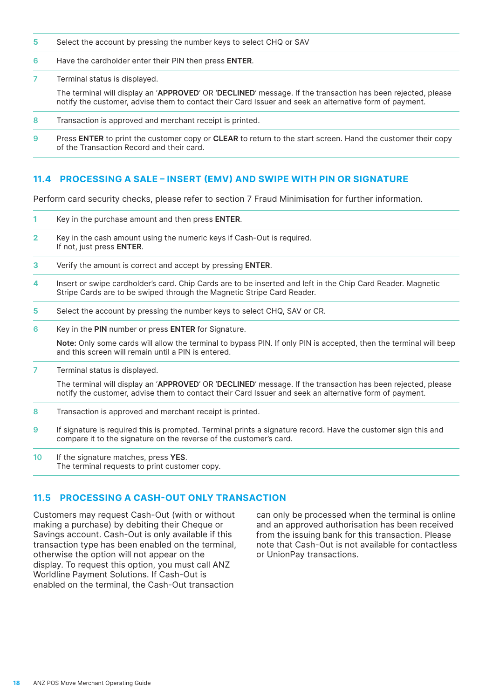- <span id="page-17-0"></span>**5** Select the account by pressing the number keys to select CHQ or SAV
- **6** Have the cardholder enter their PIN then press **ENTER**.
- **7** Terminal status is displayed.

The terminal will display an '**APPROVED**' OR '**DECLINED**' message. If the transaction has been rejected, please notify the customer, advise them to contact their Card Issuer and seek an alternative form of payment.

- **8** Transaction is approved and merchant receipt is printed.
- **9** Press **ENTER** to print the customer copy or **CLEAR** to return to the start screen. Hand the customer their copy of the Transaction Record and their card.

# **11.4 PROCESSING A SALE – INSERT (EMV) AND SWIPE WITH PIN OR SIGNATURE**

Perform card security checks, please refer to section 7 Fraud Minimisation for further information.

- **1** Key in the purchase amount and then press **ENTER**.
- **2** Key in the cash amount using the numeric keys if Cash-Out is required. If not, just press **ENTER**.
- **3** Verify the amount is correct and accept by pressing **ENTER**.
- **4** Insert or swipe cardholder's card. Chip Cards are to be inserted and left in the Chip Card Reader. Magnetic Stripe Cards are to be swiped through the Magnetic Stripe Card Reader.
- **5** Select the account by pressing the number keys to select CHQ, SAV or CR.
- **6** Key in the **PIN** number or press **ENTER** for Signature.

**Note:** Only some cards will allow the terminal to bypass PIN. If only PIN is accepted, then the terminal will beep and this screen will remain until a PIN is entered.

**7** Terminal status is displayed.

The terminal will display an '**APPROVED**' OR '**DECLINED**' message. If the transaction has been rejected, please notify the customer, advise them to contact their Card Issuer and seek an alternative form of payment.

- **8** Transaction is approved and merchant receipt is printed.
- **9** If signature is required this is prompted. Terminal prints a signature record. Have the customer sign this and compare it to the signature on the reverse of the customer's card.
- **10** If the signature matches, press **YES**. The terminal requests to print customer copy.

# **11.5 PROCESSING A CASH-OUT ONLY TRANSACTION**

Customers may request Cash-Out (with or without making a purchase) by debiting their Cheque or Savings account. Cash-Out is only available if this transaction type has been enabled on the terminal, otherwise the option will not appear on the display. To request this option, you must call ANZ Worldline Payment Solutions. If Cash-Out is enabled on the terminal, the Cash-Out transaction

can only be processed when the terminal is online and an approved authorisation has been received from the issuing bank for this transaction. Please note that Cash-Out is not available for contactless or UnionPay transactions.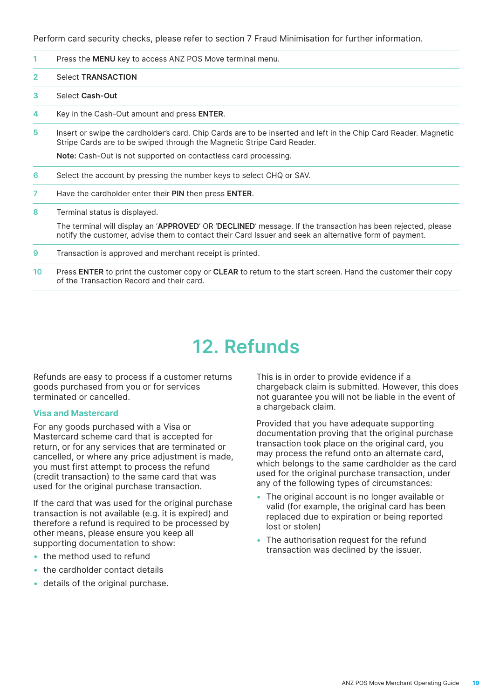<span id="page-18-0"></span>Perform card security checks, please refer to section 7 Fraud Minimisation for further information.

- **1** Press the **MENU** key to access ANZ POS Move terminal menu.
- **2** Select **TRANSACTION**
- **3** Select **Cash-Out**
- **4** Key in the Cash-Out amount and press **ENTER**.
- **5** Insert or swipe the cardholder's card. Chip Cards are to be inserted and left in the Chip Card Reader. Magnetic Stripe Cards are to be swiped through the Magnetic Stripe Card Reader.

**Note:** Cash-Out is not supported on contactless card processing.

- **6** Select the account by pressing the number keys to select CHQ or SAV.
- **7** Have the cardholder enter their **PIN** then press **ENTER**.
- **8** Terminal status is displayed.

The terminal will display an '**APPROVED**' OR '**DECLINED**' message. If the transaction has been rejected, please notify the customer, advise them to contact their Card Issuer and seek an alternative form of payment.

- **9** Transaction is approved and merchant receipt is printed.
- **10** Press **ENTER** to print the customer copy or **CLEAR** to return to the start screen. Hand the customer their copy of the Transaction Record and their card.

# **12. Refunds**

Refunds are easy to process if a customer returns goods purchased from you or for services terminated or cancelled.

#### **Visa and Mastercard**

For any goods purchased with a Visa or Mastercard scheme card that is accepted for return, or for any services that are terminated or cancelled, or where any price adjustment is made, you must first attempt to process the refund (credit transaction) to the same card that was used for the original purchase transaction.

If the card that was used for the original purchase transaction is not available (e.g. it is expired) and therefore a refund is required to be processed by other means, please ensure you keep all supporting documentation to show:

- the method used to refund
- the cardholder contact details
- details of the original purchase.

This is in order to provide evidence if a chargeback claim is submitted. However, this does not guarantee you will not be liable in the event of a chargeback claim.

Provided that you have adequate supporting documentation proving that the original purchase transaction took place on the original card, you may process the refund onto an alternate card, which belongs to the same cardholder as the card used for the original purchase transaction, under any of the following types of circumstances:

- The original account is no longer available or valid (for example, the original card has been replaced due to expiration or being reported lost or stolen)
- The authorisation request for the refund transaction was declined by the issuer.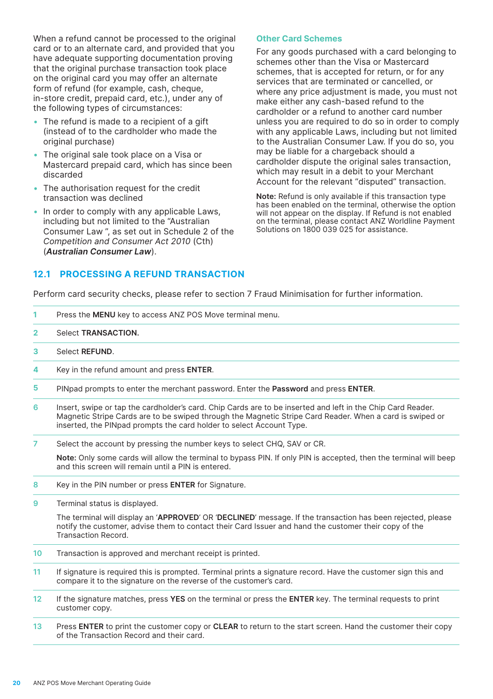<span id="page-19-0"></span>When a refund cannot be processed to the original card or to an alternate card, and provided that you have adequate supporting documentation proving that the original purchase transaction took place on the original card you may offer an alternate form of refund (for example, cash, cheque, in-store credit, prepaid card, etc.), under any of the following types of circumstances:

- The refund is made to a recipient of a gift (instead of to the cardholder who made the original purchase)
- The original sale took place on a Visa or Mastercard prepaid card, which has since been discarded
- The authorisation request for the credit transaction was declined
- In order to comply with any applicable Laws, including but not limited to the "Australian Consumer Law ", as set out in Schedule 2 of the *Competition and Consumer Act 2010* (Cth) (*Australian Consumer Law*).

#### **Other Card Schemes**

For any goods purchased with a card belonging to schemes other than the Visa or Mastercard schemes, that is accepted for return, or for any services that are terminated or cancelled, or where any price adjustment is made, you must not make either any cash-based refund to the cardholder or a refund to another card number unless you are required to do so in order to comply with any applicable Laws, including but not limited to the Australian Consumer Law. If you do so, you may be liable for a chargeback should a cardholder dispute the original sales transaction, which may result in a debit to your Merchant Account for the relevant "disputed" transaction.

**Note:** Refund is only available if this transaction type has been enabled on the terminal, otherwise the option will not appear on the display. If Refund is not enabled on the terminal, please contact ANZ Worldline Payment Solutions on 1800 039 025 for assistance.

### **12.1 PROCESSING A REFUND TRANSACTION**

Perform card security checks, please refer to section 7 Fraud Minimisation for further information.

| 1.           | Press the <b>MENU</b> key to access ANZ POS Move terminal menu.                                                                                                                                                                                                                                 |
|--------------|-------------------------------------------------------------------------------------------------------------------------------------------------------------------------------------------------------------------------------------------------------------------------------------------------|
| $\mathbf{2}$ | Select <b>TRANSACTION.</b>                                                                                                                                                                                                                                                                      |
| 3.           | Select <b>REFUND</b> .                                                                                                                                                                                                                                                                          |
| 4            | Key in the refund amount and press <b>ENTER</b> .                                                                                                                                                                                                                                               |
| 5.           | PINpad prompts to enter the merchant password. Enter the <b>Password</b> and press <b>ENTER</b> .                                                                                                                                                                                               |
| 6            | Insert, swipe or tap the cardholder's card. Chip Cards are to be inserted and left in the Chip Card Reader.<br>Magnetic Stripe Cards are to be swiped through the Magnetic Stripe Card Reader. When a card is swiped or<br>inserted, the PINpad prompts the card holder to select Account Type. |
|              |                                                                                                                                                                                                                                                                                                 |

**7** Select the account by pressing the number keys to select CHQ, SAV or CR.

**Note:** Only some cards will allow the terminal to bypass PIN. If only PIN is accepted, then the terminal will beep and this screen will remain until a PIN is entered.

**8** Key in the PIN number or press **ENTER** for Signature.

**9** Terminal status is displayed.

The terminal will display an '**APPROVED**' OR '**DECLINED**' message. If the transaction has been rejected, please notify the customer, advise them to contact their Card Issuer and hand the customer their copy of the Transaction Record.

- **10** Transaction is approved and merchant receipt is printed.
- **11** If signature is required this is prompted. Terminal prints a signature record. Have the customer sign this and compare it to the signature on the reverse of the customer's card.
- **12** If the signature matches, press **YES** on the terminal or press the **ENTER** key. The terminal requests to print customer copy.
- **13** Press **ENTER** to print the customer copy or **CLEAR** to return to the start screen. Hand the customer their copy of the Transaction Record and their card.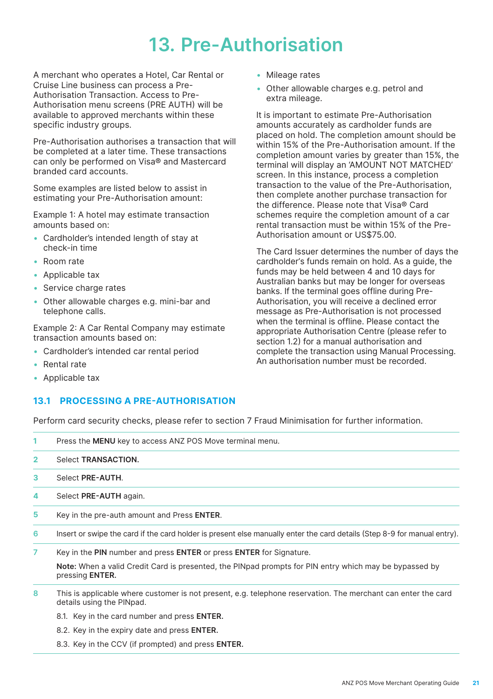# **13. Pre-Authorisation**

<span id="page-20-0"></span>A merchant who operates a Hotel, Car Rental or Cruise Line business can process a Pre-Authorisation Transaction. Access to Pre-Authorisation menu screens (PRE AUTH) will be available to approved merchants within these specific industry groups.

Pre-Authorisation authorises a transaction that will be completed at a later time. These transactions can only be performed on Visa® and Mastercard branded card accounts.

Some examples are listed below to assist in estimating your Pre-Authorisation amount:

Example 1: A hotel may estimate transaction amounts based on:

- Cardholder's intended length of stay at check-in time
- • Room rate
- Applicable tax
- Service charge rates
- Other allowable charges e.g. mini-bar and telephone calls.

Example 2: A Car Rental Company may estimate transaction amounts based on:

- Cardholder's intended car rental period
- • Rental rate
- Applicable tax

### **13.1 PROCESSING A PRE-AUTHORISATION**

Perform card security checks, please refer to section 7 Fraud Minimisation for further information.

| 1.             | Press the <b>MENU</b> key to access ANZ POS Move terminal menu.                                                                            |
|----------------|--------------------------------------------------------------------------------------------------------------------------------------------|
| $\overline{2}$ | Select <b>TRANSACTION.</b>                                                                                                                 |
| 3              | Select PRE-AUTH.                                                                                                                           |
| 4              | Select PRE-AUTH again.                                                                                                                     |
| 5              | Key in the pre-auth amount and Press ENTER.                                                                                                |
| 6              | Insert or swipe the card if the card holder is present else manually enter the card details (Step 8-9 for manual entry).                   |
| 7              | Key in the PIN number and press ENTER or press ENTER for Signature.                                                                        |
|                | Note: When a valid Credit Card is presented, the PINpad prompts for PIN entry which may be bypassed by<br>pressing <b>ENTER.</b>           |
| 8              | This is applicable where customer is not present, e.g. telephone reservation. The merchant can enter the card<br>details using the PINpad. |

- 8.1. Key in the card number and press **ENTER.**
- 8.2. Key in the expiry date and press **ENTER.**
- 8.3. Key in the CCV (if prompted) and press **ENTER.**
- • Mileage rates
- • Other allowable charges e.g. petrol and extra mileage.

It is important to estimate Pre-Authorisation amounts accurately as cardholder funds are placed on hold. The completion amount should be within 15% of the Pre-Authorisation amount. If the completion amount varies by greater than 15%, the terminal will display an 'AMOUNT NOT MATCHED' screen. In this instance, process a completion transaction to the value of the Pre-Authorisation, then complete another purchase transaction for the difference. Please note that Visa® Card schemes require the completion amount of a car rental transaction must be within 15% of the Pre-Authorisation amount or US\$75.00.

The Card Issuer determines the number of days the cardholder's funds remain on hold. As a guide, the funds may be held between 4 and 10 days for Australian banks but may be longer for overseas banks. If the terminal goes offline during Pre-Authorisation, you will receive a declined error message as Pre-Authorisation is not processed when the terminal is offline. Please contact the appropriate Authorisation Centre (please refer to section 1.2) for a manual authorisation and complete the transaction using Manual Processing. An authorisation number must be recorded.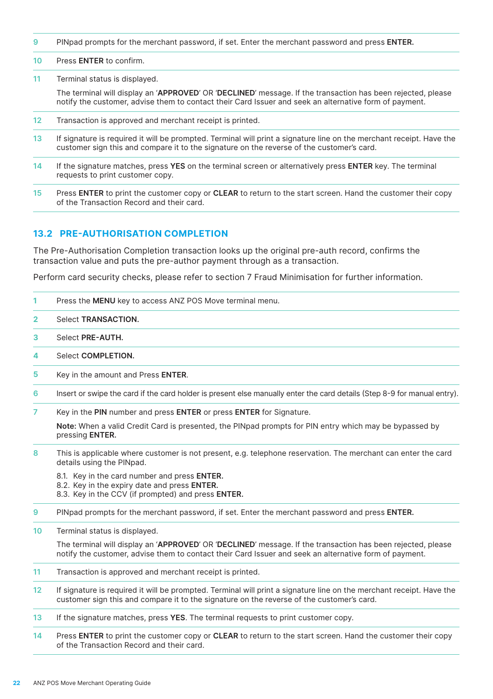<span id="page-21-0"></span>**9** PINpad prompts for the merchant password, if set. Enter the merchant password and press **ENTER.**

#### **10** Press **ENTER** to confirm.

**11** Terminal status is displayed.

The terminal will display an '**APPROVED**' OR '**DECLINED**' message. If the transaction has been rejected, please notify the customer, advise them to contact their Card Issuer and seek an alternative form of payment.

- **12** Transaction is approved and merchant receipt is printed.
- **13** If signature is required it will be prompted. Terminal will print a signature line on the merchant receipt. Have the customer sign this and compare it to the signature on the reverse of the customer's card.
- **14** If the signature matches, press **YES** on the terminal screen or alternatively press **ENTER** key. The terminal requests to print customer copy.
- **15** Press **ENTER** to print the customer copy or **CLEAR** to return to the start screen. Hand the customer their copy of the Transaction Record and their card.

### **13.2 PRE-AUTHORISATION COMPLETION**

The Pre-Authorisation Completion transaction looks up the original pre-auth record, confirms the transaction value and puts the pre-author payment through as a transaction.

Perform card security checks, please refer to section 7 Fraud Minimisation for further information.

- **1** Press the **MENU** key to access ANZ POS Move terminal menu.
- **2** Select **TRANSACTION.**
- **3** Select **PRE-AUTH.**
- **4** Select **COMPLETION.**
- **5** Key in the amount and Press **ENTER**.
- **6** Insert or swipe the card if the card holder is present else manually enter the card details (Step 8-9 for manual entry).
- **7** Key in the **PIN** number and press **ENTER** or press **ENTER** for Signature.

**Note:** When a valid Credit Card is presented, the PINpad prompts for PIN entry which may be bypassed by pressing **ENTER.**

- **8** This is applicable where customer is not present, e.g. telephone reservation. The merchant can enter the card details using the PINpad.
	- 8.1. Key in the card number and press **ENTER.**
	- 8.2. Key in the expiry date and press **ENTER.**
	- 8.3. Key in the CCV (if prompted) and press **ENTER.**
- **9** PINpad prompts for the merchant password, if set. Enter the merchant password and press **ENTER.**
- **10** Terminal status is displayed.

The terminal will display an '**APPROVED**' OR '**DECLINED**' message. If the transaction has been rejected, please notify the customer, advise them to contact their Card Issuer and seek an alternative form of payment.

- **11** Transaction is approved and merchant receipt is printed.
- **12** If signature is required it will be prompted. Terminal will print a signature line on the merchant receipt. Have the customer sign this and compare it to the signature on the reverse of the customer's card.
- **13** If the signature matches, press **YES**. The terminal requests to print customer copy.
- **14** Press **ENTER** to print the customer copy or **CLEAR** to return to the start screen. Hand the customer their copy of the Transaction Record and their card.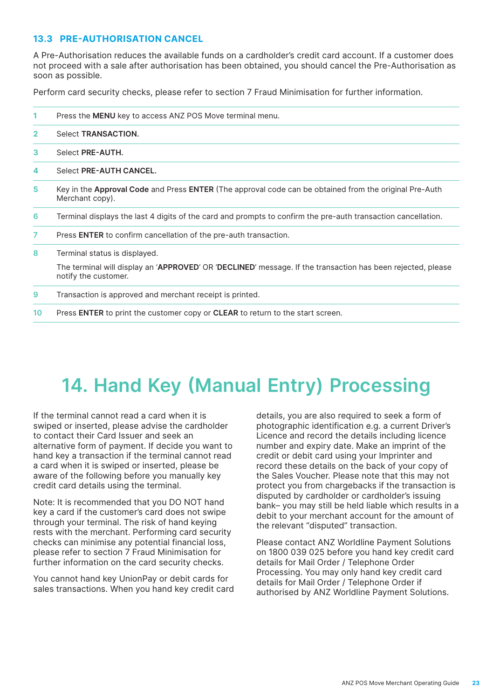# <span id="page-22-0"></span>**13.3 PRE-AUTHORISATION CANCEL**

A Pre-Authorisation reduces the available funds on a cardholder's credit card account. If a customer does not proceed with a sale after authorisation has been obtained, you should cancel the Pre-Authorisation as soon as possible.

Perform card security checks, please refer to section 7 Fraud Minimisation for further information.

| 1              | Press the <b>MENU</b> key to access ANZ POS Move terminal menu.                                                                     |
|----------------|-------------------------------------------------------------------------------------------------------------------------------------|
| $\overline{2}$ | Select <b>TRANSACTION.</b>                                                                                                          |
| 3              | Select PRE-AUTH.                                                                                                                    |
| 4              | Select PRE-AUTH CANCEL.                                                                                                             |
| 5              | Key in the Approval Code and Press ENTER (The approval code can be obtained from the original Pre-Auth<br>Merchant copy).           |
| 6              | Terminal displays the last 4 digits of the card and prompts to confirm the pre-auth transaction cancellation.                       |
| 7              | Press <b>ENTER</b> to confirm cancellation of the pre-auth transaction.                                                             |
| 8              | Terminal status is displayed.                                                                                                       |
|                | The terminal will display an 'APPROVED' OR 'DECLINED' message. If the transaction has been rejected, please<br>notify the customer. |
| 9              | Transaction is approved and merchant receipt is printed.                                                                            |
| 10             | Press ENTER to print the customer copy or CLEAR to return to the start screen.                                                      |

# **14. Hand Key (Manual Entry) Processing**

If the terminal cannot read a card when it is swiped or inserted, please advise the cardholder to contact their Card Issuer and seek an alternative form of payment. If decide you want to hand key a transaction if the terminal cannot read a card when it is swiped or inserted, please be aware of the following before you manually key credit card details using the terminal.

Note: It is recommended that you DO NOT hand key a card if the customer's card does not swipe through your terminal. The risk of hand keying rests with the merchant. Performing card security checks can minimise any potential financial loss, please refer to section 7 Fraud Minimisation for further information on the card security checks.

You cannot hand key UnionPay or debit cards for sales transactions. When you hand key credit card details, you are also required to seek a form of photographic identification e.g. a current Driver's Licence and record the details including licence number and expiry date. Make an imprint of the credit or debit card using your Imprinter and record these details on the back of your copy of the Sales Voucher. Please note that this may not protect you from chargebacks if the transaction is disputed by cardholder or cardholder's issuing bank– you may still be held liable which results in a debit to your merchant account for the amount of the relevant "disputed" transaction.

Please contact ANZ Worldline Payment Solutions on 1800 039 025 before you hand key credit card details for Mail Order / Telephone Order Processing. You may only hand key credit card details for Mail Order / Telephone Order if authorised by ANZ Worldline Payment Solutions.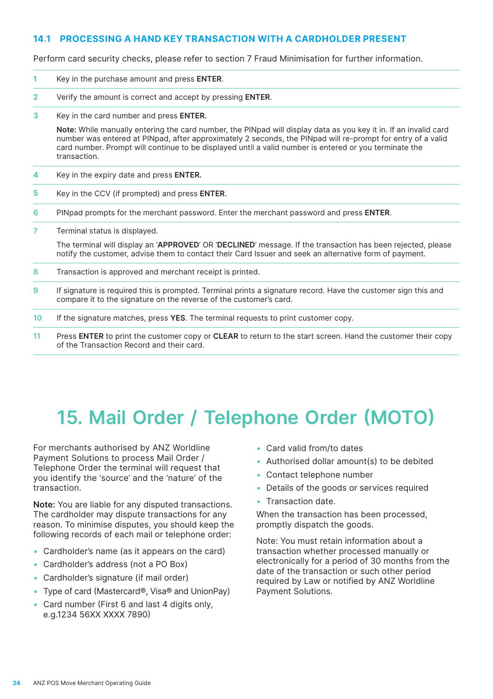### <span id="page-23-0"></span>**14.1 PROCESSING A HAND KEY TRANSACTION WITH A CARDHOLDER PRESENT**

Perform card security checks, please refer to section 7 Fraud Minimisation for further information.

- **1** Key in the purchase amount and press **ENTER**.
- **2** Verify the amount is correct and accept by pressing **ENTER**.
- **3** Key in the card number and press **ENTER.**

**Note:** While manually entering the card number, the PINpad will display data as you key it in. If an invalid card number was entered at PINpad, after approximately 2 seconds, the PINpad will re-prompt for entry of a valid card number. Prompt will continue to be displayed until a valid number is entered or you terminate the transaction.

- **4** Key in the expiry date and press **ENTER.**
- **5** Key in the CCV (if prompted) and press **ENTER**.
- **6** PINpad prompts for the merchant password. Enter the merchant password and press **ENTER**.
- **7** Terminal status is displayed.

The terminal will display an '**APPROVED**' OR '**DECLINED**' message. If the transaction has been rejected, please notify the customer, advise them to contact their Card Issuer and seek an alternative form of payment.

- **8** Transaction is approved and merchant receipt is printed.
- **9** If signature is required this is prompted. Terminal prints a signature record. Have the customer sign this and compare it to the signature on the reverse of the customer's card.
- **10** If the signature matches, press **YES**. The terminal requests to print customer copy.
- **11** Press **ENTER** to print the customer copy or **CLEAR** to return to the start screen. Hand the customer their copy of the Transaction Record and their card.

# **15. Mail Order / Telephone Order (MOTO)**

For merchants authorised by ANZ Worldline Payment Solutions to process Mail Order / Telephone Order the terminal will request that you identify the 'source' and the 'nature' of the transaction.

**Note:** You are liable for any disputed transactions. The cardholder may dispute transactions for any reason. To minimise disputes, you should keep the following records of each mail or telephone order:

- Cardholder's name (as it appears on the card)
- • Cardholder's address (not a PO Box)
- • Cardholder's signature (if mail order)
- Type of card (Mastercard®, Visa® and UnionPay)
- Card number (First 6 and last 4 digits only, e.g.1234 56XX XXXX 7890)
- • Card valid from/to dates
- Authorised dollar amount(s) to be debited
- • Contact telephone number
- Details of the goods or services required
- Transaction date.

When the transaction has been processed, promptly dispatch the goods.

Note: You must retain information about a transaction whether processed manually or electronically for a period of 30 months from the date of the transaction or such other period required by Law or notified by ANZ Worldline Payment Solutions.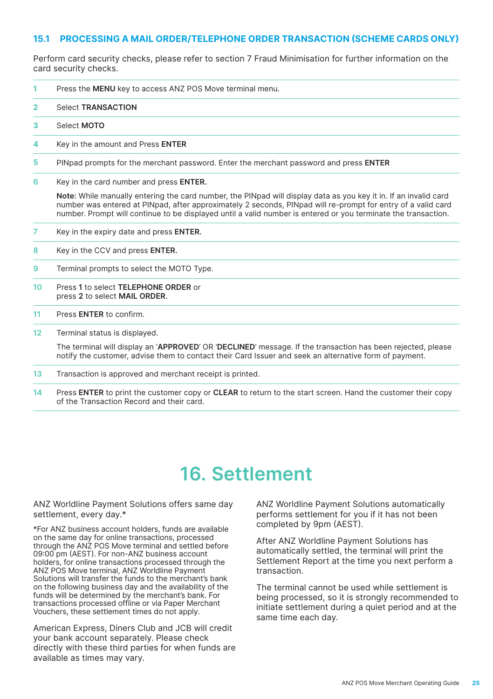### <span id="page-24-0"></span>**15.1 PROCESSING A MAIL ORDER/TELEPHONE ORDER TRANSACTION (SCHEME CARDS ONLY)**

Perform card security checks, please refer to section 7 Fraud Minimisation for further information on the card security checks.

- **1** Press the **MENU** key to access ANZ POS Move terminal menu.
- **2** Select **TRANSACTION**
- **3** Select **MOTO**
- **4** Key in the amount and Press **ENTER**
- **5** PINpad prompts for the merchant password. Enter the merchant password and press **ENTER**
- **6** Key in the card number and press **ENTER.**

**Note:** While manually entering the card number, the PINpad will display data as you key it in. If an invalid card number was entered at PINpad, after approximately 2 seconds, PINpad will re-prompt for entry of a valid card number. Prompt will continue to be displayed until a valid number is entered or you terminate the transaction.

- **7** Key in the expiry date and press **ENTER.**
- **8** Key in the CCV and press **ENTER.**
- **9** Terminal prompts to select the MOTO Type.
- **10** Press **1** to select **TELEPHONE ORDER** or press **2** to select **MAIL ORDER.**
- **11** Press **ENTER** to confirm.
- **12** Terminal status is displayed.

The terminal will display an '**APPROVED**' OR '**DECLINED**' message. If the transaction has been rejected, please notify the customer, advise them to contact their Card Issuer and seek an alternative form of payment.

- **13** Transaction is approved and merchant receipt is printed.
- **14** Press **ENTER** to print the customer copy or **CLEAR** to return to the start screen. Hand the customer their copy of the Transaction Record and their card.

# **16. Settlement**

ANZ Worldline Payment Solutions offers same day settlement, every day.\*

\*For ANZ business account holders, funds are available on the same day for online transactions, processed through the ANZ POS Move terminal and settled before 09:00 pm (AEST). For non-ANZ business account holders, for online transactions processed through the ANZ POS Move terminal, ANZ Worldline Payment Solutions will transfer the funds to the merchant's bank on the following business day and the availability of the funds will be determined by the merchant's bank. For transactions processed offline or via Paper Merchant Vouchers, these settlement times do not apply.

American Express, Diners Club and JCB will credit your bank account separately. Please check directly with these third parties for when funds are available as times may vary.

ANZ Worldline Payment Solutions automatically performs settlement for you if it has not been completed by 9pm (AEST).

After ANZ Worldline Payment Solutions has automatically settled, the terminal will print the Settlement Report at the time you next perform a transaction.

The terminal cannot be used while settlement is being processed, so it is strongly recommended to initiate settlement during a quiet period and at the same time each day.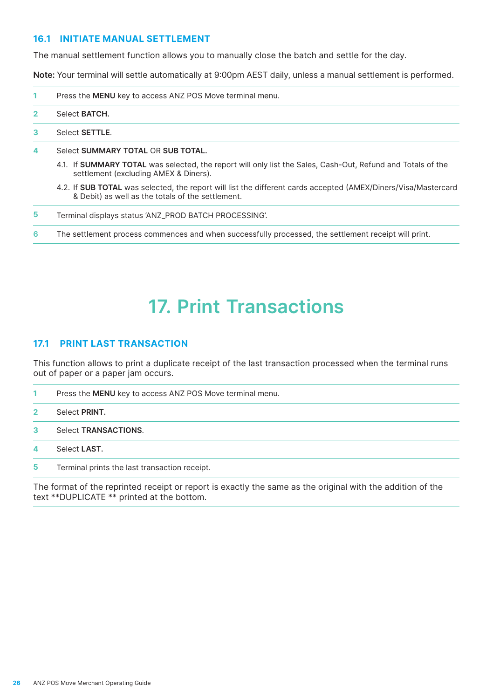### <span id="page-25-0"></span>**16.1 INITIATE MANUAL SETTLEMENT**

The manual settlement function allows you to manually close the batch and settle for the day.

**Note:** Your terminal will settle automatically at 9:00pm AEST daily, unless a manual settlement is performed.

- **1** Press the **MENU** key to access ANZ POS Move terminal menu.
- **2** Select **BATCH.**
- **3** Select **SETTLE**.
- **4** Select **SUMMARY TOTAL** OR **SUB TOTAL.**
	- 4.1. If **SUMMARY TOTAL** was selected, the report will only list the Sales, Cash-Out, Refund and Totals of the settlement (excluding AMEX & Diners).
	- 4.2. If **SUB TOTAL** was selected, the report will list the different cards accepted (AMEX/Diners/Visa/Mastercard & Debit) as well as the totals of the settlement.
- **5** Terminal displays status 'ANZ\_PROD BATCH PROCESSING'.
- **6** The settlement process commences and when successfully processed, the settlement receipt will print.

# **17. Print Transactions**

#### **17.1 PRINT LAST TRANSACTION**

This function allows to print a duplicate receipt of the last transaction processed when the terminal runs out of paper or a paper jam occurs.

- **1** Press the **MENU** key to access ANZ POS Move terminal menu. **2** Select **PRINT.**
- **3** Select **TRANSACTIONS**.
- **4** Select **LAST.**
- **5** Terminal prints the last transaction receipt.

The format of the reprinted receipt or report is exactly the same as the original with the addition of the text \*\*DUPLICATE \*\* printed at the bottom.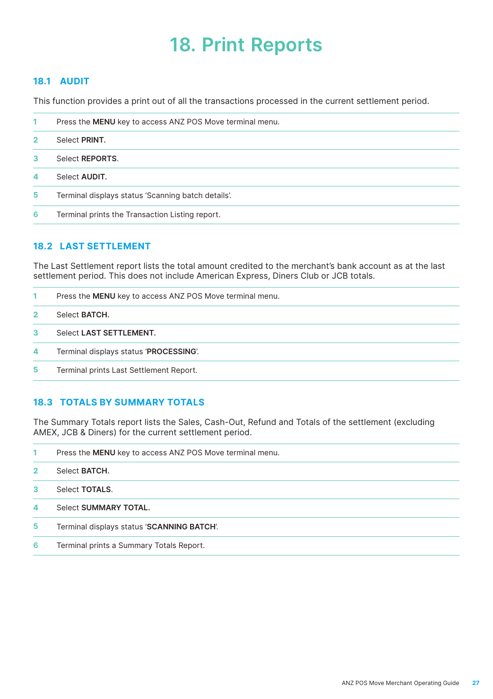# **18. Print Reports**

# <span id="page-26-0"></span>**18.1 AUDIT**

This function provides a print out of all the transactions processed in the current settlement period.

| 1              | Press the MENU key to access ANZ POS Move terminal menu. |
|----------------|----------------------------------------------------------|
| $\overline{2}$ | Select PRINT.                                            |
| 3              | Select <b>REPORTS</b> .                                  |
| 4              | Select <b>AUDIT.</b>                                     |
| 5              | Terminal displays status 'Scanning batch details'.       |
| 6              | Terminal prints the Transaction Listing report.          |

# **18.2 LAST SETTLEMENT**

The Last Settlement report lists the total amount credited to the merchant's bank account as at the last settlement period. This does not include American Express, Diners Club or JCB totals.

|                     | Press the <b>MENU</b> key to access ANZ POS Move terminal menu. |
|---------------------|-----------------------------------------------------------------|
| $\overline{2}$      | Select BATCH.                                                   |
| -3                  | Select LAST SETTLEMENT.                                         |
| $\overline{\bf{4}}$ | Terminal displays status 'PROCESSING'.                          |
| 5                   | Terminal prints Last Settlement Report.                         |

# **18.3 TOTALS BY SUMMARY TOTALS**

The Summary Totals report lists the Sales, Cash-Out, Refund and Totals of the settlement (excluding AMEX, JCB & Diners) for the current settlement period.

| 1              | Press the <b>MENU</b> key to access ANZ POS Move terminal menu. |
|----------------|-----------------------------------------------------------------|
| $\overline{2}$ | Select <b>BATCH</b> .                                           |
| 3              | Select <b>TOTALS</b> .                                          |
| 4              | Select SUMMARY TOTAL.                                           |
| 5              | Terminal displays status 'SCANNING BATCH'.                      |
| 6              | Terminal prints a Summary Totals Report.                        |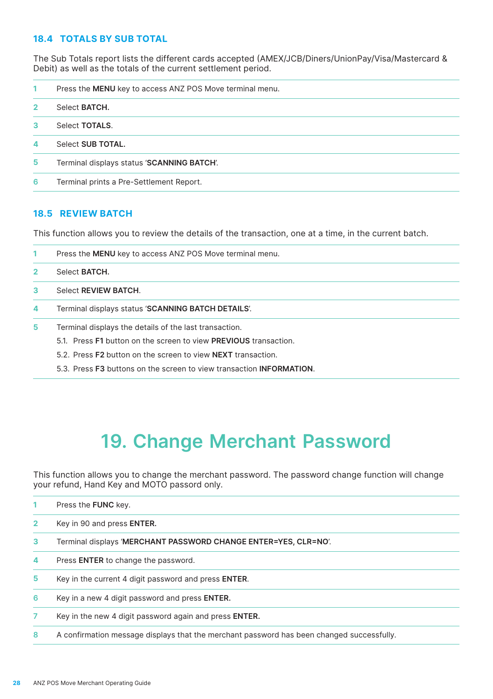# <span id="page-27-0"></span>**18.4 TOTALS BY SUB TOTAL**

The Sub Totals report lists the different cards accepted (AMEX/JCB/Diners/UnionPay/Visa/Mastercard & Debit) as well as the totals of the current settlement period.

- Press the **MENU** key to access ANZ POS Move terminal menu.
- Select **BATCH.**
- Select **TOTALS**.
- Select **SUB TOTAL.**
- Terminal displays status '**SCANNING BATCH**'.
- Terminal prints a Pre-Settlement Report.

### **18.5 REVIEW BATCH**

This function allows you to review the details of the transaction, one at a time, in the current batch.

- Press the **MENU** key to access ANZ POS Move terminal menu. Select **BATCH.** Select **REVIEW BATCH**. Terminal displays status '**SCANNING BATCH DETAILS**'.
- Terminal displays the details of the last transaction.
	- 5.1. Press **F1** button on the screen to view **PREVIOUS** transaction.
		- 5.2. Press **F2** button on the screen to view **NEXT** transaction.
		- 5.3. Press **F3** buttons on the screen to view transaction **INFORMATION**.

# **19. Change Merchant Password**

This function allows you to change the merchant password. The password change function will change your refund, Hand Key and MOTO passord only.

|                | Press the <b>FUNC</b> kev.                                      |
|----------------|-----------------------------------------------------------------|
| $\overline{2}$ | Key in 90 and press <b>ENTER.</b>                               |
| 3              | Terminal displays 'MERCHANT PASSWORD CHANGE ENTER=YES, CLR=NO'. |
| 4              | Press ENTER to change the password.                             |
| 5              | Key in the current 4 digit password and press <b>ENTER</b> .    |
| 6              | Key in a new 4 digit password and press <b>ENTER</b> .          |
|                | Key in the new 4 digit password again and press ENTER.          |
|                |                                                                 |

A confirmation message displays that the merchant password has been changed successfully.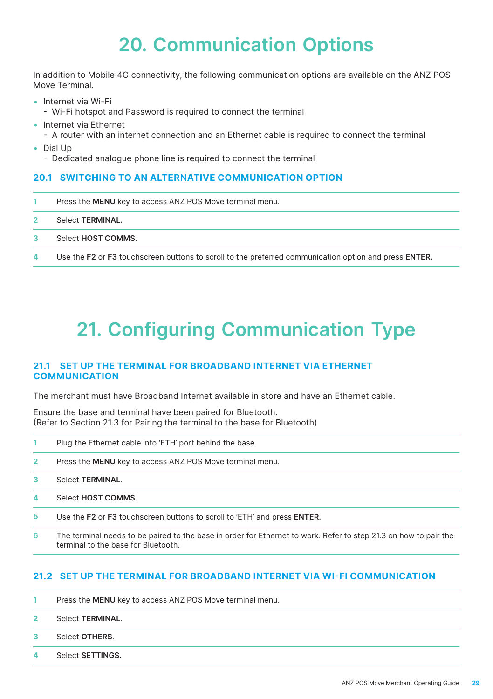# **20. Communication Options**

<span id="page-28-0"></span>In addition to Mobile 4G connectivity, the following communication options are available on the ANZ POS Move Terminal.

- • Internet via Wi-Fi
	- Wi-Fi hotspot and Password is required to connect the terminal
- • Internet via Ethernet
	- A router with an internet connection and an Ethernet cable is required to connect the terminal
- • Dial Up
	- Dedicated analogue phone line is required to connect the terminal

# **20.1 SWITCHING TO AN ALTERNATIVE COMMUNICATION OPTION**

- **1** Press the **MENU** key to access ANZ POS Move terminal menu.
- **2** Select **TERMINAL.**
- **3** Select **HOST COMMS**.
- **4** Use the **F2** or **F3** touchscreen buttons to scroll to the preferred communication option and press **ENTER.**

# **21. Configuring Communication Type**

# **21.1 SET UP THE TERMINAL FOR BROADBAND INTERNET VIA ETHERNET COMMUNICATION**

The merchant must have Broadband Internet available in store and have an Ethernet cable.

Ensure the base and terminal have been paired for Bluetooth. (Refer to Section 21.3 for Pairing the terminal to the base for Bluetooth)

- **1** Plug the Ethernet cable into 'ETH' port behind the base.
- **2** Press the **MENU** key to access ANZ POS Move terminal menu.
- **3** Select **TERMINAL**.
- **4** Select **HOST COMMS**.
- **5** Use the **F2** or **F3** touchscreen buttons to scroll to 'ETH' and press **ENTER.**
- **6** The terminal needs to be paired to the base in order for Ethernet to work. Refer to step 21.3 on how to pair the terminal to the base for Bluetooth.

# **21.2 SET UP THE TERMINAL FOR BROADBAND INTERNET VIA WI-FI COMMUNICATION**

- **1** Press the **MENU** key to access ANZ POS Move terminal menu.
- **2** Select **TERMINAL**.
- **3** Select **OTHERS**.
- **4** Select **SETTINGS.**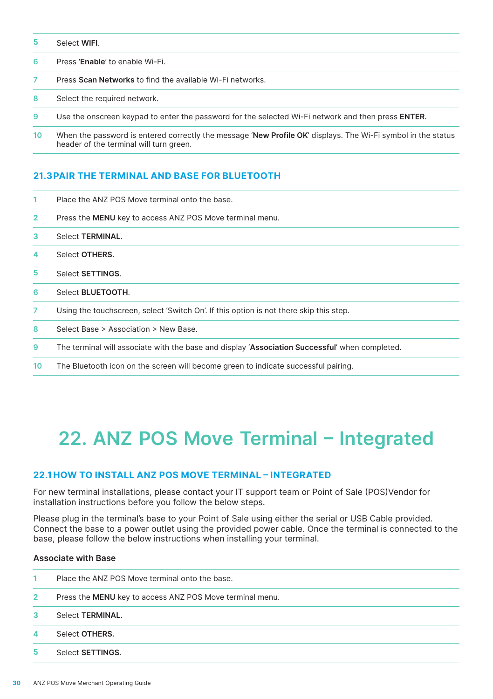- <span id="page-29-0"></span>Select **WIFI**.
- Press '**Enable**' to enable Wi-Fi.
- Press **Scan Networks** to find the available Wi-Fi networks.
- Select the required network.
- Use the onscreen keypad to enter the password for the selected Wi-Fi network and then press **ENTER.**
- When the password is entered correctly the message '**New Profile OK**' displays. The Wi-Fi symbol in the status header of the terminal will turn green.

### **21.3 PAIR THE TERMINAL AND BASE FOR BLUETOOTH**

| 1              | Place the ANZ POS Move terminal onto the base.                                                 |
|----------------|------------------------------------------------------------------------------------------------|
| $\overline{2}$ | Press the <b>MENU</b> key to access ANZ POS Move terminal menu.                                |
| 3              | Select <b>TERMINAL</b> .                                                                       |
| 4              | Select OTHERS.                                                                                 |
| 5              | Select <b>SETTINGS</b> .                                                                       |
| 6              | Select <b>BLUETOOTH</b> .                                                                      |
| 7              | Using the touchscreen, select 'Switch On'. If this option is not there skip this step.         |
| 8              | Select Base > Association > New Base.                                                          |
| 9              | The terminal will associate with the base and display 'Association Successful' when completed. |
| 10             | The Bluetooth icon on the screen will become green to indicate successful pairing.             |

# **22. ANZ POS Move Terminal – Integrated**

### **22.1 HOW TO INSTALL ANZ POS MOVE TERMINAL – INTEGRATED**

For new terminal installations, please contact your IT support team or Point of Sale (POS)Vendor for installation instructions before you follow the below steps.

Please plug in the terminal's base to your Point of Sale using either the serial or USB Cable provided. Connect the base to a power outlet using the provided power cable. Once the terminal is connected to the base, please follow the below instructions when installing your terminal.

### **Associate with Base**

| $\mathbf{1}$ | Place the ANZ POS Move terminal onto the base.           |
|--------------|----------------------------------------------------------|
| $\mathbf{2}$ | Press the MENU key to access ANZ POS Move terminal menu. |
| 3            | Select <b>TERMINAL</b> .                                 |
| Δ            | Select OTHERS.                                           |
| 5            | Select <b>SETTINGS</b> .                                 |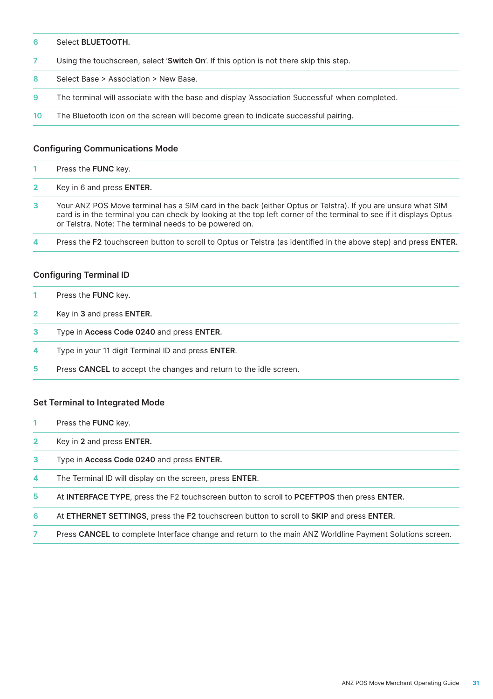| 6  | Select <b>BLUETOOTH.</b>                                                                       |
|----|------------------------------------------------------------------------------------------------|
|    | Using the touchscreen, select 'Switch On'. If this option is not there skip this step.         |
| 8  | Select Base > Association > New Base.                                                          |
| 9  | The terminal will associate with the base and display 'Association Successful' when completed. |
| 10 | The Bluetooth icon on the screen will become green to indicate successful pairing.             |

# **Configuring Communications Mode**

| Press the <b>FUNC</b> key.                                                                                                                                                                                                                                                                   |
|----------------------------------------------------------------------------------------------------------------------------------------------------------------------------------------------------------------------------------------------------------------------------------------------|
| Key in 6 and press <b>ENTER.</b>                                                                                                                                                                                                                                                             |
| Your ANZ POS Move terminal has a SIM card in the back (either Optus or Telstra). If you are unsure what SIM<br>card is in the terminal you can check by looking at the top left corner of the terminal to see if it displays Optus<br>or Telstra. Note: The terminal needs to be powered on. |

Press the **F2** touchscreen button to scroll to Optus or Telstra (as identified in the above step) and press **ENTER.**

### **Configuring Terminal ID**

| Press the FUNC key. |  |
|---------------------|--|
|---------------------|--|

- Key in **3** and press **ENTER.**
- Type in **Access Code 0240** and press **ENTER.**
- Type in your 11 digit Terminal ID and press **ENTER**.
- Press **CANCEL** to accept the changes and return to the idle screen.

#### **Set Terminal to Integrated Mode**

- Press the **FUNC** key.
- Key in **2** and press **ENTER.**
- Type in **Access Code 0240** and press **ENTER.**
- The Terminal ID will display on the screen, press **ENTER**.
- At **INTERFACE TYPE**, press the F2 touchscreen button to scroll to **PCEFTPOS** then press **ENTER.**
- At **ETHERNET SETTINGS**, press the **F2** touchscreen button to scroll to **SKIP** and press **ENTER.**
- Press **CANCEL** to complete Interface change and return to the main ANZ Worldline Payment Solutions screen.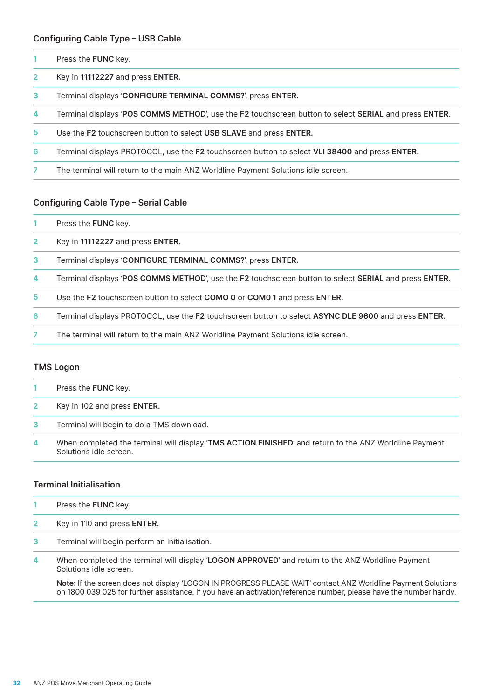#### **Configuring Cable Type – USB Cable**

| Press the FUNC key. |  |
|---------------------|--|
|                     |  |

- Key in **11112227** and press **ENTER.**
- Terminal displays '**CONFIGURE TERMINAL COMMS?**', press **ENTER.**
- Terminal displays '**POS COMMS METHOD**', use the **F2** touchscreen button to select **SERIAL** and press **ENTER**.
- Use the **F2** touchscreen button to select **USB SLAVE** and press **ENTER.**
- Terminal displays PROTOCOL, use the **F2** touchscreen button to select **VLI 38400** and press **ENTER.**
- The terminal will return to the main ANZ Worldline Payment Solutions idle screen.

### **Configuring Cable Type – Serial Cable**

- Press the **FUNC** key.
- Key in **11112227** and press **ENTER.**
- Terminal displays '**CONFIGURE TERMINAL COMMS?**', press **ENTER.**
- Terminal displays '**POS COMMS METHOD**', use the **F2** touchscreen button to select **SERIAL** and press **ENTER**.
- Use the **F2** touchscreen button to select **COMO 0** or **COM0 1** and press **ENTER.**
- Terminal displays PROTOCOL, use the **F2** touchscreen button to select **ASYNC DLE 9600** and press **ENTER.**
- The terminal will return to the main ANZ Worldline Payment Solutions idle screen.

#### **TMS Logon**

|              | Press the <b>FUNC</b> key.                                                                             |
|--------------|--------------------------------------------------------------------------------------------------------|
| $\mathbf{2}$ | Key in 102 and press <b>ENTER.</b>                                                                     |
| $\mathbf{3}$ | Terminal will begin to do a TMS download.                                                              |
| 4            | When completed the terminal will display 'TMS ACTION FINISHED' and return to the ANZ Worldline Payment |

#### **Terminal Initialisation**

Press the **FUNC** key.

Solutions idle screen.

- Key in 110 and press **ENTER.**
- Terminal will begin perform an initialisation.
- When completed the terminal will display '**LOGON APPROVED**' and return to the ANZ Worldline Payment Solutions idle screen.

**Note:** If the screen does not display 'LOGON IN PROGRESS PLEASE WAIT' contact ANZ Worldline Payment Solutions on 1800 039 025 for further assistance. If you have an activation/reference number, please have the number handy.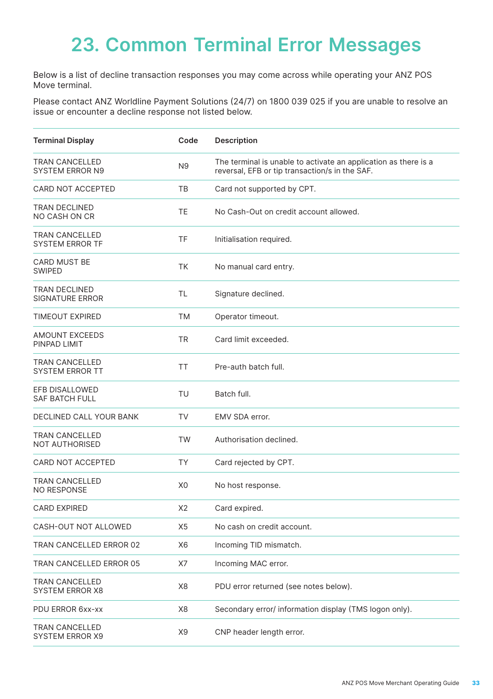# <span id="page-32-0"></span>**23. Common Terminal Error Messages**

Below is a list of decline transaction responses you may come across while operating your ANZ POS Move terminal.

Please contact ANZ Worldline Payment Solutions (24/7) on 1800 039 025 if you are unable to resolve an issue or encounter a decline response not listed below.

| <b>Terminal Display</b>                         | Code           | Description                                                                                                       |
|-------------------------------------------------|----------------|-------------------------------------------------------------------------------------------------------------------|
| <b>TRAN CANCELLED</b><br><b>SYSTEM ERROR N9</b> | N9             | The terminal is unable to activate an application as there is a<br>reversal, EFB or tip transaction/s in the SAF. |
| CARD NOT ACCEPTED                               | TB             | Card not supported by CPT.                                                                                        |
| <b>TRAN DECLINED</b><br><b>NO CASH ON CR</b>    | TE             | No Cash-Out on credit account allowed.                                                                            |
| <b>TRAN CANCELLED</b><br><b>SYSTEM ERROR TF</b> | TF             | Initialisation required.                                                                                          |
| CARD MUST BE<br><b>SWIPED</b>                   | <b>TK</b>      | No manual card entry.                                                                                             |
| <b>TRAN DECLINED</b><br><b>SIGNATURE ERROR</b>  | TL             | Signature declined.                                                                                               |
| TIMEOUT EXPIRED                                 | <b>TM</b>      | Operator timeout.                                                                                                 |
| <b>AMOUNT EXCEEDS</b><br>PINPAD LIMIT           | <b>TR</b>      | Card limit exceeded.                                                                                              |
| <b>TRAN CANCELLED</b><br><b>SYSTEM ERROR TT</b> | <b>TT</b>      | Pre-auth batch full.                                                                                              |
| EFB DISALLOWED<br><b>SAF BATCH FULL</b>         | TU             | Batch full.                                                                                                       |
| <b>DECLINED CALL YOUR BANK</b>                  | TV             | EMV SDA error.                                                                                                    |
| <b>TRAN CANCELLED</b><br>NOT AUTHORISED         | <b>TW</b>      | Authorisation declined.                                                                                           |
| CARD NOT ACCEPTED                               | <b>TY</b>      | Card rejected by CPT.                                                                                             |
| <b>TRAN CANCELLED</b><br><b>NO RESPONSE</b>     | X <sub>0</sub> | No host response.                                                                                                 |
| <b>CARD EXPIRED</b>                             | X <sub>2</sub> | Card expired.                                                                                                     |
| CASH-OUT NOT ALLOWED                            | X <sub>5</sub> | No cash on credit account.                                                                                        |
| <b>TRAN CANCELLED ERROR 02</b>                  | X <sub>6</sub> | Incoming TID mismatch.                                                                                            |
| TRAN CANCELLED ERROR 05                         | X7             | Incoming MAC error.                                                                                               |
| <b>TRAN CANCELLED</b><br>SYSTEM ERROR X8        | X <sub>8</sub> | PDU error returned (see notes below).                                                                             |
| PDU ERROR 6xx-xx                                | X8             | Secondary error/ information display (TMS logon only).                                                            |
| <b>TRAN CANCELLED</b><br><b>SYSTEM ERROR X9</b> | X <sub>9</sub> | CNP header length error.                                                                                          |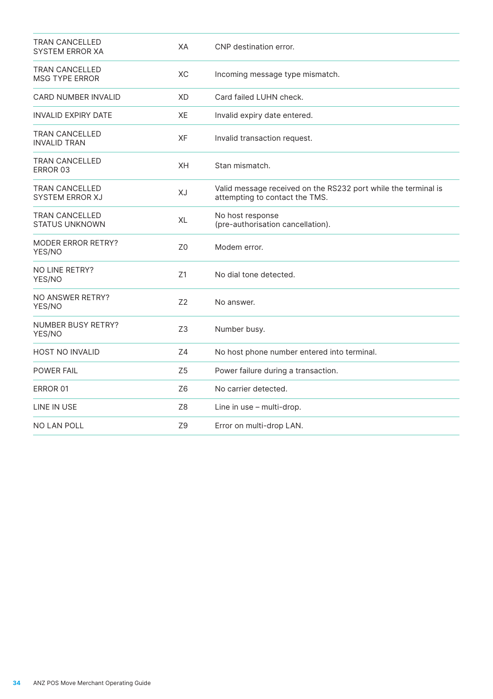| <b>TRAN CANCELLED</b><br><b>SYSTEM ERROR XA</b> | XA             | CNP destination error.                                                                           |
|-------------------------------------------------|----------------|--------------------------------------------------------------------------------------------------|
| <b>TRAN CANCELLED</b><br><b>MSG TYPE ERROR</b>  | XC             | Incoming message type mismatch.                                                                  |
| <b>CARD NUMBER INVALID</b>                      | XD             | Card failed LUHN check.                                                                          |
| INVALID EXPIRY DATE                             | XE             | Invalid expiry date entered.                                                                     |
| <b>TRAN CANCELLED</b><br>INVALID TRAN           | <b>XF</b>      | Invalid transaction request.                                                                     |
| <b>TRAN CANCELLED</b><br>ERROR 03               | XH             | Stan mismatch.                                                                                   |
| <b>TRAN CANCELLED</b><br><b>SYSTEM ERROR XJ</b> | XJ             | Valid message received on the RS232 port while the terminal is<br>attempting to contact the TMS. |
| <b>TRAN CANCELLED</b><br><b>STATUS UNKNOWN</b>  | XL             | No host response<br>(pre-authorisation cancellation).                                            |
| <b>MODER ERROR RETRY?</b><br>YES/NO             | Z <sub>0</sub> | Modem error.                                                                                     |
| NO LINE RETRY?<br>YES/NO                        | Z1             | No dial tone detected.                                                                           |
| NO ANSWER RETRY?<br>YES/NO                      | Z <sub>2</sub> | No answer.                                                                                       |
| NUMBER BUSY RETRY?<br>YES/NO                    | Z <sub>3</sub> | Number busy.                                                                                     |
| <b>HOST NO INVALID</b>                          | Z <sub>4</sub> | No host phone number entered into terminal.                                                      |
| POWER FAIL                                      | Z <sub>5</sub> | Power failure during a transaction.                                                              |
| ERROR 01                                        | Z6             | No carrier detected.                                                                             |
| LINE IN USE                                     | Z <sub>8</sub> | Line in use - multi-drop.                                                                        |
| NO LAN POLL                                     | Z9             | Error on multi-drop LAN.                                                                         |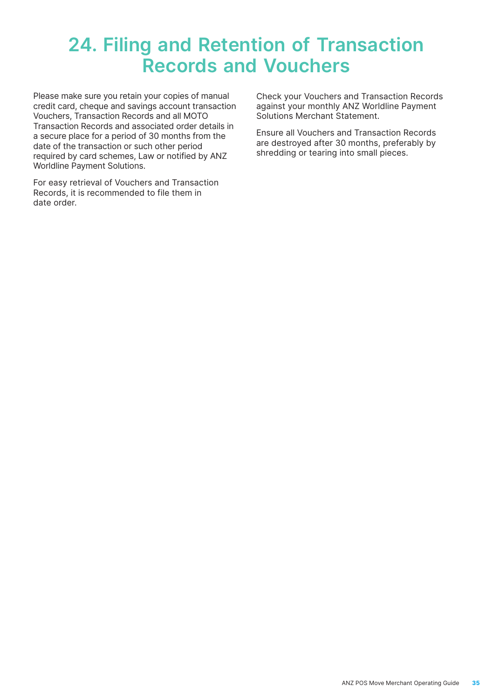# <span id="page-34-0"></span>**24. Filing and Retention of Transaction Records and Vouchers**

Please make sure you retain your copies of manual credit card, cheque and savings account transaction Vouchers, Transaction Records and all MOTO Transaction Records and associated order details in a secure place for a period of 30 months from the date of the transaction or such other period required by card schemes, Law or notified by ANZ Worldline Payment Solutions.

For easy retrieval of Vouchers and Transaction Records, it is recommended to file them in date order.

Check your Vouchers and Transaction Records against your monthly ANZ Worldline Payment Solutions Merchant Statement.

Ensure all Vouchers and Transaction Records are destroyed after 30 months, preferably by shredding or tearing into small pieces.